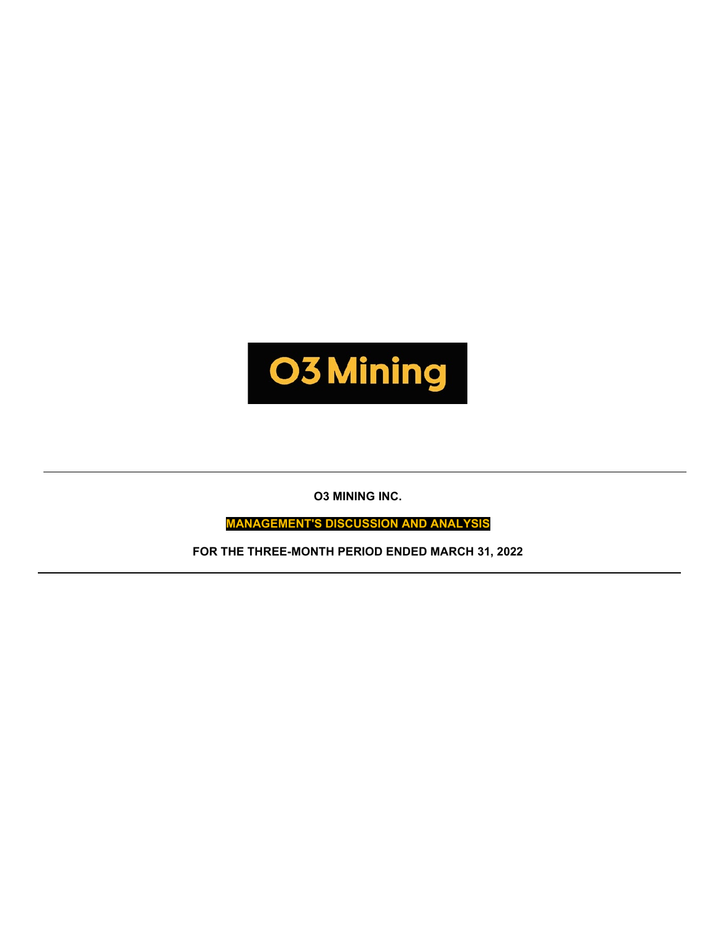

**O3 MINING INC.**

**MANAGEMENT'S DISCUSSION AND ANALYSIS**

**FOR THE THREE-MONTH PERIOD ENDED MARCH 31, 2022**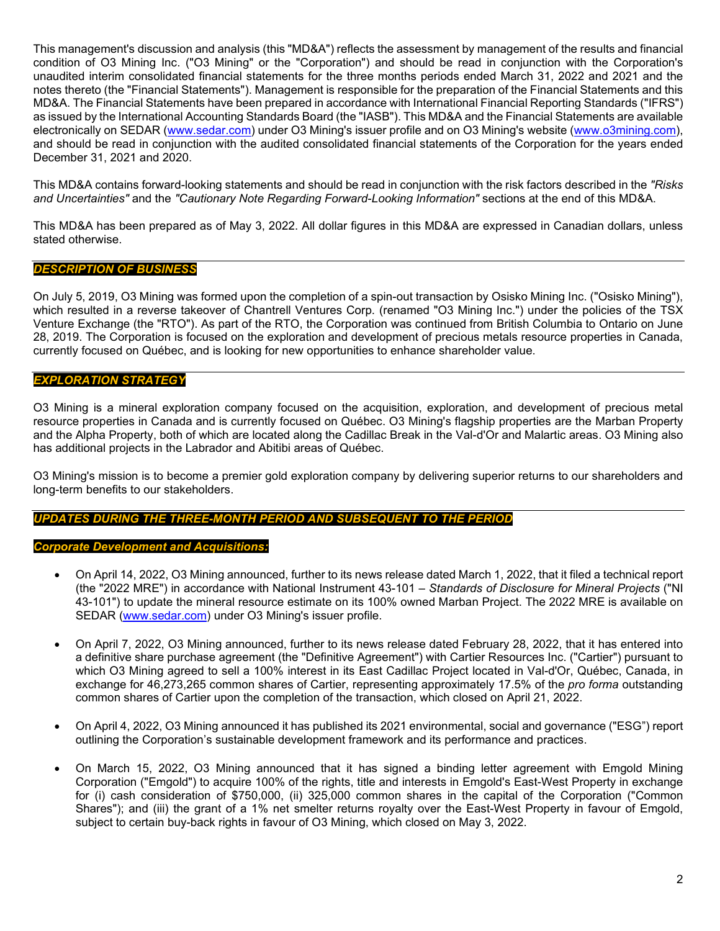This management's discussion and analysis (this "MD&A") reflects the assessment by management of the results and financial condition of O3 Mining Inc. ("O3 Mining" or the "Corporation") and should be read in conjunction with the Corporation's unaudited interim consolidated financial statements for the three months periods ended March 31, 2022 and 2021 and the notes thereto (the "Financial Statements"). Management is responsible for the preparation of the Financial Statements and this MD&A. The Financial Statements have been prepared in accordance with International Financial Reporting Standards ("IFRS") as issued by the International Accounting Standards Board (the "IASB"). This MD&A and the Financial Statements are available electronically on SEDAR [\(www.sedar.com\)](http://www.sedar.com/) under O3 Mining's issuer profile and on O3 Mining's website [\(www.o3mining.com\)](http://www.o3mining.com/), and should be read in conjunction with the audited consolidated financial statements of the Corporation for the years ended December 31, 2021 and 2020.

This MD&A contains forward-looking statements and should be read in conjunction with the risk factors described in the *"Risks and Uncertainties"* and the *"Cautionary Note Regarding Forward-Looking Information"* sections at the end of this MD&A.

This MD&A has been prepared as of May 3, 2022. All dollar figures in this MD&A are expressed in Canadian dollars, unless stated otherwise.

# *DESCRIPTION OF BUSINESS*

On July 5, 2019, O3 Mining was formed upon the completion of a spin-out transaction by Osisko Mining Inc. ("Osisko Mining"), which resulted in a reverse takeover of Chantrell Ventures Corp. (renamed "O3 Mining Inc.") under the policies of the TSX Venture Exchange (the "RTO"). As part of the RTO, the Corporation was continued from British Columbia to Ontario on June 28, 2019. The Corporation is focused on the exploration and development of precious metals resource properties in Canada, currently focused on Québec, and is looking for new opportunities to enhance shareholder value.

# *EXPLORATION STRATEGY*

O3 Mining is a mineral exploration company focused on the acquisition, exploration, and development of precious metal resource properties in Canada and is currently focused on Québec. O3 Mining's flagship properties are the Marban Property and the Alpha Property, both of which are located along the Cadillac Break in the Val-d'Or and Malartic areas. O3 Mining also has additional projects in the Labrador and Abitibi areas of Québec.

O3 Mining's mission is to become a premier gold exploration company by delivering superior returns to our shareholders and long-term benefits to our stakeholders.

# *UPDATES DURING THE THREE-MONTH PERIOD AND SUBSEQUENT TO THE PERIOD*

# *Corporate Development and Acquisitions:*

- On April 14, 2022, O3 Mining announced, further to its news release dated March 1, 2022, that it filed a technical report (the "2022 MRE") in accordance with National Instrument 43-101 – *Standards of Disclosure for Mineral Projects* ("NI 43-101") to update the mineral resource estimate on its 100% owned Marban Project. The 2022 MRE is available on SEDAR [\(www.sedar.com\)](http://www.sedar.com/) under O3 Mining's issuer profile.
- On April 7, 2022, O3 Mining announced, further to its news release dated February 28, 2022, that it has entered into a definitive share purchase agreement (the "Definitive Agreement") with Cartier Resources Inc. ("Cartier") pursuant to which O3 Mining agreed to sell a 100% interest in its East Cadillac Project located in Val-d'Or, Québec, Canada, in exchange for 46,273,265 common shares of Cartier, representing approximately 17.5% of the *pro forma* outstanding common shares of Cartier upon the completion of the transaction, which closed on April 21, 2022.
- On April 4, 2022, O3 Mining announced it has published its 2021 environmental, social and governance ("ESG") report outlining the Corporation's sustainable development framework and its performance and practices.
- On March 15, 2022, O3 Mining announced that it has signed a binding letter agreement with Emgold Mining Corporation ("Emgold") to acquire 100% of the rights, title and interests in Emgold's East-West Property in exchange for (i) cash consideration of \$750,000, (ii) 325,000 common shares in the capital of the Corporation ("Common Shares"); and (iii) the grant of a 1% net smelter returns royalty over the East-West Property in favour of Emgold, subject to certain buy-back rights in favour of O3 Mining, which closed on May 3, 2022.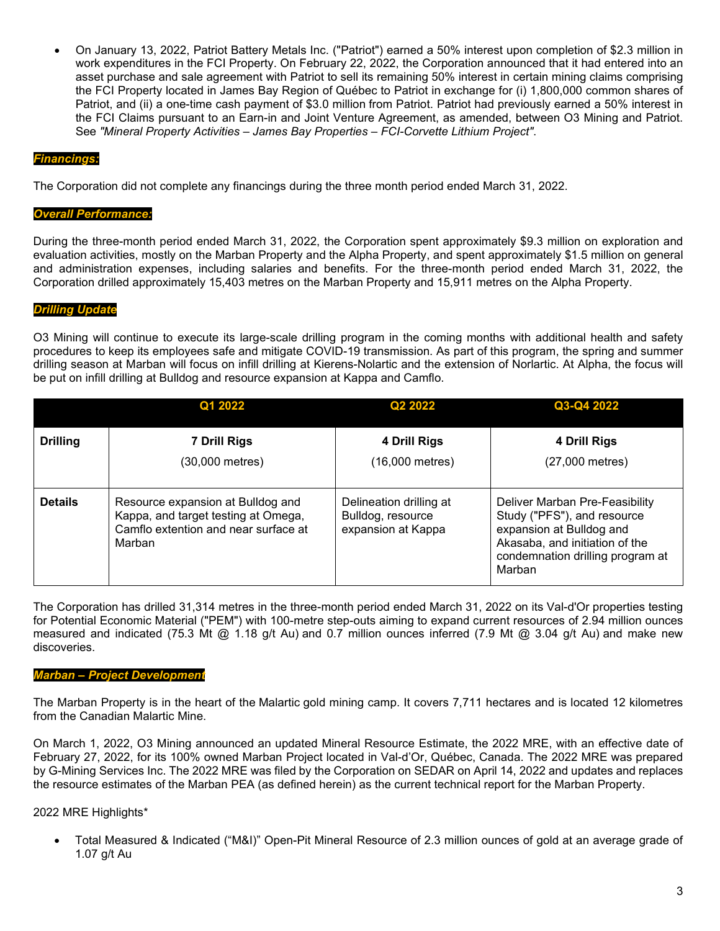• On January 13, 2022, Patriot Battery Metals Inc. ("Patriot") earned a 50% interest upon completion of \$2.3 million in work expenditures in the FCI Property. On February 22, 2022, the Corporation announced that it had entered into an asset purchase and sale agreement with Patriot to sell its remaining 50% interest in certain mining claims comprising the FCI Property located in James Bay Region of Québec to Patriot in exchange for (i) 1,800,000 common shares of Patriot, and (ii) a one-time cash payment of \$3.0 million from Patriot. Patriot had previously earned a 50% interest in the FCI Claims pursuant to an Earn-in and Joint Venture Agreement, as amended, between O3 Mining and Patriot. See *"Mineral Property Activities – James Bay Properties – FCI-Corvette Lithium Project"*.

# *Financings:*

The Corporation did not complete any financings during the three month period ended March 31, 2022.

### *Overall Performance:*

During the three-month period ended March 31, 2022, the Corporation spent approximately \$9.3 million on exploration and evaluation activities, mostly on the Marban Property and the Alpha Property, and spent approximately \$1.5 million on general and administration expenses, including salaries and benefits. For the three-month period ended March 31, 2022, the Corporation drilled approximately 15,403 metres on the Marban Property and 15,911 metres on the Alpha Property.

# *Drilling Update*

O3 Mining will continue to execute its large-scale drilling program in the coming months with additional health and safety procedures to keep its employees safe and mitigate COVID-19 transmission. As part of this program, the spring and summer drilling season at Marban will focus on infill drilling at Kierens-Nolartic and the extension of Norlartic. At Alpha, the focus will be put on infill drilling at Bulldog and resource expansion at Kappa and Camflo.

|                 | Q1 2022                                                                                                                    | Q2 2022                                                            | Q3-Q4 2022                                                                                                                                                                |
|-----------------|----------------------------------------------------------------------------------------------------------------------------|--------------------------------------------------------------------|---------------------------------------------------------------------------------------------------------------------------------------------------------------------------|
| <b>Drilling</b> | <b>7 Drill Rigs</b><br>(30,000 metres)                                                                                     | 4 Drill Rigs<br>(16,000 metres)                                    | 4 Drill Rigs<br>(27,000 metres)                                                                                                                                           |
| <b>Details</b>  | Resource expansion at Bulldog and<br>Kappa, and target testing at Omega,<br>Camflo extention and near surface at<br>Marban | Delineation drilling at<br>Bulldog, resource<br>expansion at Kappa | Deliver Marban Pre-Feasibility<br>Study ("PFS"), and resource<br>expansion at Bulldog and<br>Akasaba, and initiation of the<br>condemnation drilling program at<br>Marban |

The Corporation has drilled 31,314 metres in the three-month period ended March 31, 2022 on its Val-d'Or properties testing for Potential Economic Material ("PEM") with 100-metre step-outs aiming to expand current resources of 2.94 million ounces measured and indicated (75.3 Mt  $@$  1.18 g/t Au) and 0.7 million ounces inferred (7.9 Mt  $@$  3.04 g/t Au) and make new discoveries.

# *Marban – Project Development*

The Marban Property is in the heart of the Malartic gold mining camp. It covers 7,711 hectares and is located 12 kilometres from the Canadian Malartic Mine.

On March 1, 2022, O3 Mining announced an updated Mineral Resource Estimate, the 2022 MRE, with an effective date of February 27, 2022, for its 100% owned Marban Project located in Val-d'Or, Québec, Canada. The 2022 MRE was prepared by G-Mining Services Inc. The 2022 MRE was filed by the Corporation on SEDAR on April 14, 2022 and updates and replaces the resource estimates of the Marban PEA (as defined herein) as the current technical report for the Marban Property.

# 2022 MRE Highlights\*

• Total Measured & Indicated ("M&I)" Open-Pit Mineral Resource of 2.3 million ounces of gold at an average grade of 1.07 g/t Au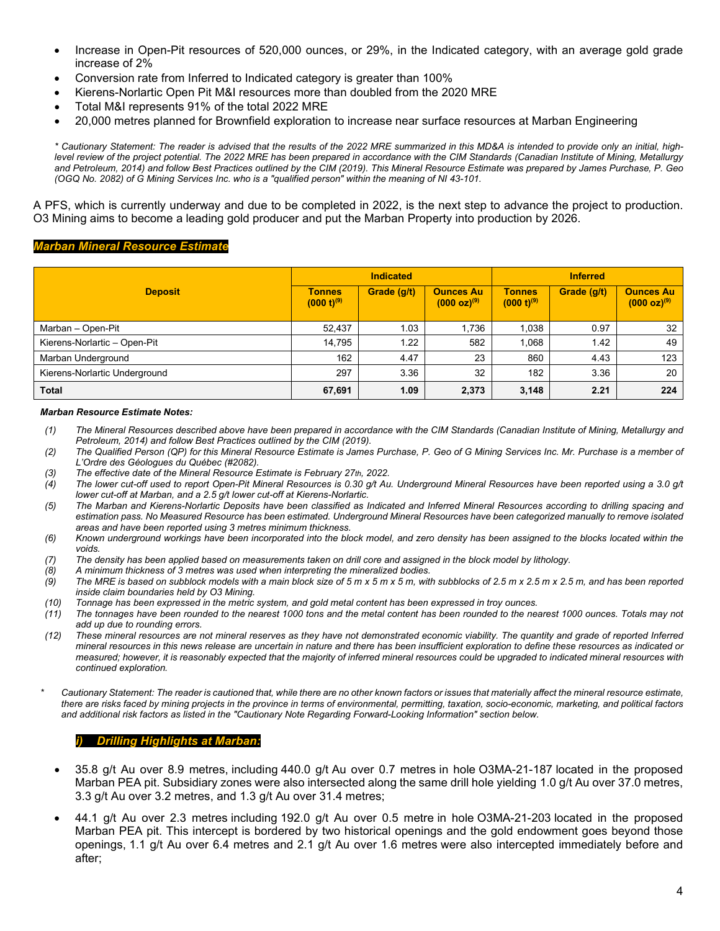- Increase in Open-Pit resources of 520,000 ounces, or 29%, in the Indicated category, with an average gold grade increase of 2%
- Conversion rate from Inferred to Indicated category is greater than 100%
- Kierens-Norlartic Open Pit M&I resources more than doubled from the 2020 MRE
- Total M&I represents 91% of the total 2022 MRE
- 20,000 metres planned for Brownfield exploration to increase near surface resources at Marban Engineering

*\* Cautionary Statement: The reader is advised that the results of the 2022 MRE summarized in this MD&A is intended to provide only an initial, highlevel review of the project potential. The 2022 MRE has been prepared in accordance with the CIM Standards (Canadian Institute of Mining, Metallurgy and Petroleum, 2014) and follow Best Practices outlined by the CIM (2019). This Mineral Resource Estimate was prepared by James Purchase, P. Geo (OGQ No. 2082) of G Mining Services Inc. who is a "qualified person" within the meaning of NI 43-101.*

A PFS, which is currently underway and due to be completed in 2022, is the next step to advance the project to production. O3 Mining aims to become a leading gold producer and put the Marban Property into production by 2026.

# *Marban Mineral Resource Estimate*

|                               |                                  | <b>Indicated</b> |                                              |                                  | <b>Inferred</b> |                                      |
|-------------------------------|----------------------------------|------------------|----------------------------------------------|----------------------------------|-----------------|--------------------------------------|
| <b>Deposit</b>                | <b>Tonnes</b><br>$(000 t)^{(9)}$ | Grade (g/t)      | <b>Ounces Au</b><br>$(000 \text{ oz})^{(9)}$ | <b>Tonnes</b><br>$(000 t)^{(9)}$ | Grade (g/t)     | <b>Ounces Au</b><br>$(000 oz)^{(9)}$ |
| Marban - Open-Pit             | 52,437                           | 1.03             | .736                                         | 1,038                            | 0.97            | 32                                   |
| Kierens-Norlartic - Open-Pit  | 14,795                           | 1.22             | 582                                          | 1,068                            | 1.42            | 49                                   |
| Marban Underground            | 162                              | 4.47             | 23                                           | 860                              | 4.43            | 123                                  |
| Kierens-Norlartic Underground | 297                              | 3.36             | 32                                           | 182                              | 3.36            | 20                                   |
| <b>Total</b>                  | 67,691                           | 1.09             | 2,373                                        | 3,148                            | 2.21            | 224                                  |

#### *Marban Resource Estimate Notes:*

- *(1) The Mineral Resources described above have been prepared in accordance with the CIM Standards (Canadian Institute of Mining, Metallurgy and Petroleum, 2014) and follow Best Practices outlined by the CIM (2019).*
- *(2) The Qualified Person (QP) for this Mineral Resource Estimate is James Purchase, P. Geo of G Mining Services Inc. Mr. Purchase is a member of L'Ordre des Géologues du Québec (#2082).*
- *(3) The effective date of the Mineral Resource Estimate is February 27th, 2022.*
- *(4) The lower cut-off used to report Open-Pit Mineral Resources is 0.30 g/t Au. Underground Mineral Resources have been reported using a 3.0 g/t lower cut-off at Marban, and a 2.5 g/t lower cut-off at Kierens-Norlartic.*
- *(5) The Marban and Kierens-Norlartic Deposits have been classified as Indicated and Inferred Mineral Resources according to drilling spacing and estimation pass. No Measured Resource has been estimated. Underground Mineral Resources have been categorized manually to remove isolated areas and have been reported using 3 metres minimum thickness.*
- *(6) Known underground workings have been incorporated into the block model, and zero density has been assigned to the blocks located within the voids.*
- *(7) The density has been applied based on measurements taken on drill core and assigned in the block model by lithology.*
- *(8) A minimum thickness of 3 metres was used when interpreting the mineralized bodies.*
- *(9) The MRE is based on subblock models with a main block size of 5 m x 5 m x 5 m, with subblocks of 2.5 m x 2.5 m x 2.5 m, and has been reported inside claim boundaries held by O3 Mining.*
- *(10) Tonnage has been expressed in the metric system, and gold metal content has been expressed in troy ounces.*
- *(11) The tonnages have been rounded to the nearest 1000 tons and the metal content has been rounded to the nearest 1000 ounces. Totals may not add up due to rounding errors.*
- *(12) These mineral resources are not mineral reserves as they have not demonstrated economic viability. The quantity and grade of reported Inferred mineral resources in this news release are uncertain in nature and there has been insufficient exploration to define these resources as indicated or measured; however, it is reasonably expected that the majority of inferred mineral resources could be upgraded to indicated mineral resources with continued exploration.*
- *\* Cautionary Statement: The reader is cautioned that, while there are no other known factors or issues that materially affect the mineral resource estimate, there are risks faced by mining projects in the province in terms of environmental, permitting, taxation, socio-economic, marketing, and political factors and additional risk factors as listed in the "Cautionary Note Regarding Forward-Looking Information" section below.*

#### *i) Drilling Highlights at Marban:*

- 35.8 g/t Au over 8.9 metres, including 440.0 g/t Au over 0.7 metres in hole O3MA-21-187 located in the proposed Marban PEA pit. Subsidiary zones were also intersected along the same drill hole yielding 1.0 g/t Au over 37.0 metres, 3.3 g/t Au over 3.2 metres, and 1.3 g/t Au over 31.4 metres;
- 44.1 g/t Au over 2.3 metres including 192.0 g/t Au over 0.5 metre in hole O3MA-21-203 located in the proposed Marban PEA pit. This intercept is bordered by two historical openings and the gold endowment goes beyond those openings, 1.1 g/t Au over 6.4 metres and 2.1 g/t Au over 1.6 metres were also intercepted immediately before and after;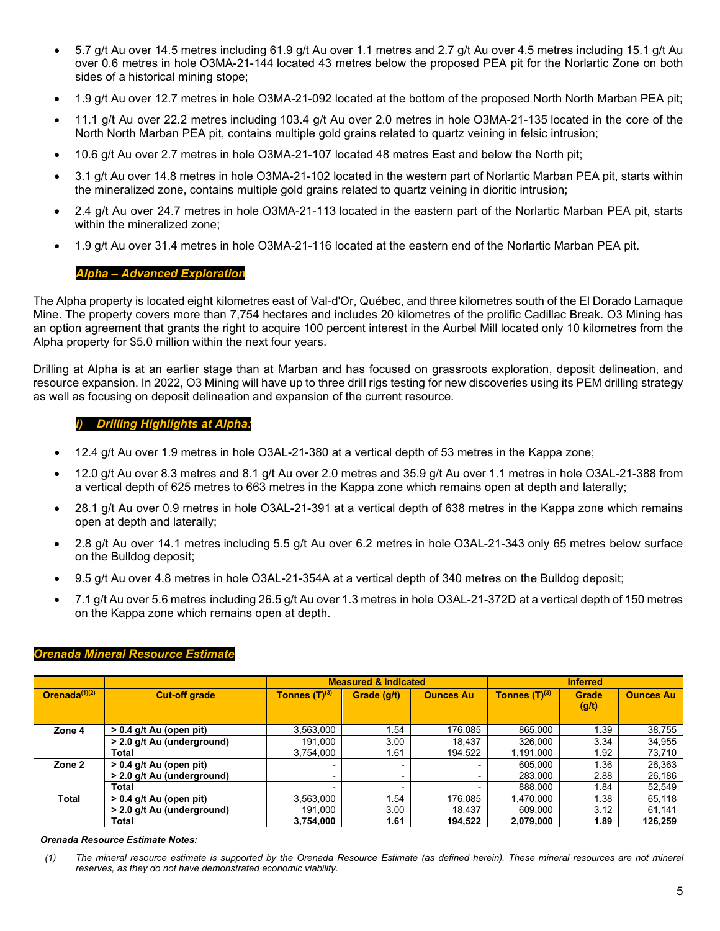- 5.7 g/t Au over 14.5 metres including 61.9 g/t Au over 1.1 metres and 2.7 g/t Au over 4.5 metres including 15.1 g/t Au over 0.6 metres in hole O3MA-21-144 located 43 metres below the proposed PEA pit for the Norlartic Zone on both sides of a historical mining stope;
- 1.9 g/t Au over 12.7 metres in hole O3MA-21-092 located at the bottom of the proposed North North Marban PEA pit;
- 11.1 g/t Au over 22.2 metres including 103.4 g/t Au over 2.0 metres in hole O3MA-21-135 located in the core of the North North Marban PEA pit, contains multiple gold grains related to quartz veining in felsic intrusion;
- 10.6 g/t Au over 2.7 metres in hole O3MA-21-107 located 48 metres East and below the North pit;
- 3.1 g/t Au over 14.8 metres in hole O3MA-21-102 located in the western part of Norlartic Marban PEA pit, starts within the mineralized zone, contains multiple gold grains related to quartz veining in dioritic intrusion;
- 2.4 g/t Au over 24.7 metres in hole O3MA-21-113 located in the eastern part of the Norlartic Marban PEA pit, starts within the mineralized zone;
- 1.9 g/t Au over 31.4 metres in hole O3MA-21-116 located at the eastern end of the Norlartic Marban PEA pit.

# *Alpha – Advanced Exploration*

The Alpha property is located eight kilometres east of Val-d'Or, Québec, and three kilometres south of the El Dorado Lamaque Mine. The property covers more than 7,754 hectares and includes 20 kilometres of the prolific Cadillac Break. O3 Mining has an option agreement that grants the right to acquire 100 percent interest in the Aurbel Mill located only 10 kilometres from the Alpha property for \$5.0 million within the next four years.

Drilling at Alpha is at an earlier stage than at Marban and has focused on grassroots exploration, deposit delineation, and resource expansion. In 2022, O3 Mining will have up to three drill rigs testing for new discoveries using its PEM drilling strategy as well as focusing on deposit delineation and expansion of the current resource.

# *i) Drilling Highlights at Alpha:*

- 12.4 g/t Au over 1.9 metres in hole O3AL-21-380 at a vertical depth of 53 metres in the Kappa zone;
- 12.0 g/t Au over 8.3 metres and 8.1 g/t Au over 2.0 metres and 35.9 g/t Au over 1.1 metres in hole O3AL-21-388 from a vertical depth of 625 metres to 663 metres in the Kappa zone which remains open at depth and laterally;
- 28.1 g/t Au over 0.9 metres in hole O3AL-21-391 at a vertical depth of 638 metres in the Kappa zone which remains open at depth and laterally;
- 2.8 g/t Au over 14.1 metres including 5.5 g/t Au over 6.2 metres in hole O3AL-21-343 only 65 metres below surface on the Bulldog deposit;
- 9.5 g/t Au over 4.8 metres in hole O3AL-21-354A at a vertical depth of 340 metres on the Bulldog deposit;
- 7.1 g/t Au over 5.6 metres including 26.5 g/t Au over 1.3 metres in hole O3AL-21-372D at a vertical depth of 150 metres on the Kappa zone which remains open at depth.

|                  |                                     |                    | <b>Measured &amp; Indicated</b> |                  |                    |                       |                  |
|------------------|-------------------------------------|--------------------|---------------------------------|------------------|--------------------|-----------------------|------------------|
| Orenada $(1)(2)$ | <b>Cut-off grade</b>                | Tonnes $(T)^{(3)}$ | Grade (g/t)                     | <b>Ounces Au</b> | Tonnes $(T)^{(3)}$ | <b>Grade</b><br>(g/t) | <b>Ounces Au</b> |
| Zone 4           | $> 0.4$ g/t Au (open pit)           | 3,563,000          | 1.54                            | 176,085          | 865,000            | 1.39                  | 38,755           |
|                  | > 2.0 g/t Au (underground)          | 191.000            | 3.00                            | 18.437           | 326.000            | 3.34                  | 34,955           |
|                  | Total                               | 3,754,000          | 1.61                            | 194,522          | 1,191,000          | 1.92                  | 73,710           |
| Zone 2           | > 0.4 g/t Au (open pit)             |                    | $\overline{\phantom{0}}$        |                  | 605,000            | 1.36                  | 26,363           |
|                  | > 2.0 g/t Au (underground)          |                    | $\overline{\phantom{0}}$        |                  | 283,000            | 2.88                  | 26,186           |
|                  | <b>Total</b>                        |                    |                                 |                  | 888,000            | 1.84                  | 52,549           |
| <b>Total</b>     | $\overline{>0.4}$ g/t Au (open pit) | 3,563,000          | . 54                            | 176,085          | 1,470,000          | 1.38                  | 65,118           |
|                  | > 2.0 g/t Au (underground)          | 191.000            | 3.00                            | 18.437           | 609,000            | 3.12                  | 61,141           |
|                  | <b>Total</b>                        | 3,754,000          | 1.61                            | 194,522          | 2,079,000          | 1.89                  | 126,259          |

# *Orenada Mineral Resource Estimate*

#### *Orenada Resource Estimate Notes:*

*(1) The mineral resource estimate is supported by the Orenada Resource Estimate (as defined herein). These mineral resources are not mineral reserves, as they do not have demonstrated economic viability.*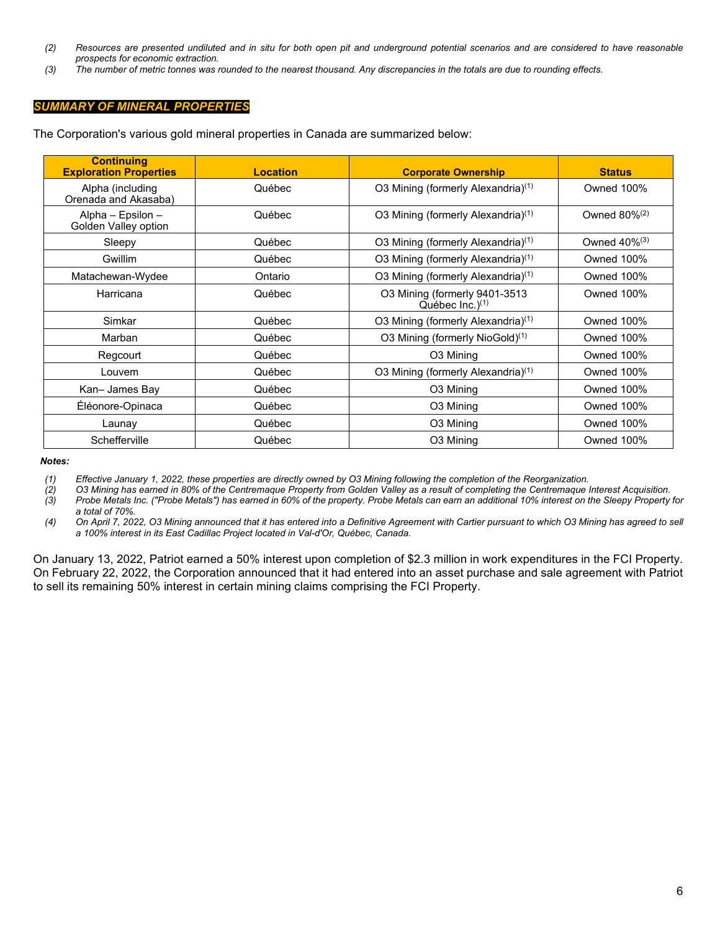- *(2) Resources are presented undiluted and in situ for both open pit and underground potential scenarios and are considered to have reasonable prospects for economic extraction.*
- *(3) The number of metric tonnes was rounded to the nearest thousand. Any discrepancies in the totals are due to rounding effects.*

# *SUMMARY OF MINERAL PROPERTIES*

The Corporation's various gold mineral properties in Canada are summarized below:

| <b>Continuing</b><br><b>Exploration Properties</b> | <b>Location</b> | <b>Corporate Ownership</b>                             | <b>Status</b>               |
|----------------------------------------------------|-----------------|--------------------------------------------------------|-----------------------------|
| Alpha (including<br>Orenada and Akasaba)           | Québec          | O3 Mining (formerly Alexandria) <sup>(1)</sup>         | Owned 100%                  |
| Alpha - Epsilon -<br>Golden Valley option          | Québec          | O3 Mining (formerly Alexandria) <sup>(1)</sup>         | Owned $80\%$ <sup>(2)</sup> |
| Sleepy                                             | Québec          | O3 Mining (formerly Alexandria) <sup>(1)</sup>         | Owned $40\%$ <sup>(3)</sup> |
| Gwillim                                            | Québec          | O3 Mining (formerly Alexandria) <sup>(1)</sup>         | <b>Owned 100%</b>           |
| Matachewan-Wydee                                   | Ontario         | O3 Mining (formerly Alexandria) <sup>(1)</sup>         | <b>Owned 100%</b>           |
| Harricana                                          | Québec          | O3 Mining (formerly 9401-3513<br>Québec Inc. $)^{(1)}$ | Owned 100%                  |
| Simkar                                             | Québec          | O3 Mining (formerly Alexandria) <sup>(1)</sup>         | <b>Owned 100%</b>           |
| Marban                                             | Québec          | O3 Mining (formerly NioGold) <sup>(1)</sup>            | <b>Owned 100%</b>           |
| Regcourt                                           | Québec          | O <sub>3</sub> Mining                                  | Owned 100%                  |
| Louvem                                             | Québec          | O3 Mining (formerly Alexandria) <sup>(1)</sup>         | <b>Owned 100%</b>           |
| Kan-James Bay                                      | Québec          | O <sub>3</sub> Mining                                  | <b>Owned 100%</b>           |
| Éléonore-Opinaca                                   | Québec          | O3 Mining                                              | <b>Owned 100%</b>           |
| Launay                                             | Québec          | O <sub>3</sub> Mining                                  | Owned 100%                  |
| Schefferville                                      | Québec          | O3 Mining                                              | Owned 100%                  |

*Notes:*

*(1) Effective January 1, 2022, these properties are directly owned by O3 Mining following the completion of the Reorganization.*

*(2) O3 Mining has earned in 80% of the Centremaque Property from Golden Valley as a result of completing the Centremaque Interest Acquisition. (3) Probe Metals Inc. ("Probe Metals") has earned in 60% of the property. Probe Metals can earn an additional 10% interest on the Sleepy Property for a total of 70%.*

*(4) On April 7, 2022, O3 Mining announced that it has entered into a Definitive Agreement with Cartier pursuant to which O3 Mining has agreed to sell a 100% interest in its East Cadillac Project located in Val-d'Or, Québec, Canada.* 

On January 13, 2022, Patriot earned a 50% interest upon completion of \$2.3 million in work expenditures in the FCI Property. On February 22, 2022, the Corporation announced that it had entered into an asset purchase and sale agreement with Patriot to sell its remaining 50% interest in certain mining claims comprising the FCI Property.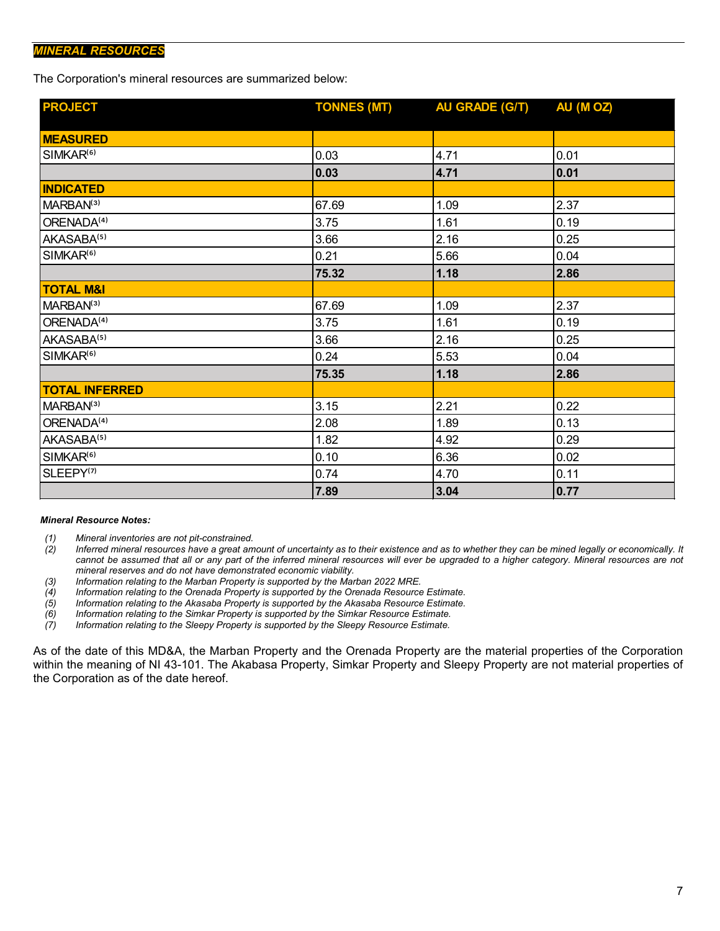# *MINERAL RESOURCES*

The Corporation's mineral resources are summarized below:

| <b>PROJECT</b>         | <b>TONNES (MT)</b> | <b>AU GRADE (G/T)</b> | AU (MOZ) |
|------------------------|--------------------|-----------------------|----------|
|                        |                    |                       |          |
| <b>MEASURED</b>        |                    |                       |          |
| SIMKAR <sup>(6)</sup>  | 0.03               | 4.71                  | 0.01     |
|                        | 0.03               | 4.71                  | 0.01     |
| <b>INDICATED</b>       |                    |                       |          |
| MARBAN <sup>(3)</sup>  | 67.69              | 1.09                  | 2.37     |
| ORENADA <sup>(4)</sup> | 3.75               | 1.61                  | 0.19     |
| AKASABA <sup>(5)</sup> | 3.66               | 2.16                  | 0.25     |
| SIMKAR <sup>(6)</sup>  | 0.21               | 5.66                  | 0.04     |
|                        | 75.32              | 1.18                  | 2.86     |
| <b>TOTAL M&amp;I</b>   |                    |                       |          |
| MARBAN <sup>(3)</sup>  | 67.69              | 1.09                  | 2.37     |
| ORENADA <sup>(4)</sup> | 3.75               | 1.61                  | 0.19     |
| AKASABA <sup>(5)</sup> | 3.66               | 2.16                  | 0.25     |
| SIMKAR <sup>(6)</sup>  | 0.24               | 5.53                  | 0.04     |
|                        | 75.35              | 1.18                  | 2.86     |
| <b>TOTAL INFERRED</b>  |                    |                       |          |
| MARBAN <sup>(3)</sup>  | 3.15               | 2.21                  | 0.22     |
| ORENADA <sup>(4)</sup> | 2.08               | 1.89                  | 0.13     |
| AKASABA <sup>(5)</sup> | 1.82               | 4.92                  | 0.29     |
| SIMKAR <sup>(6)</sup>  | 0.10               | 6.36                  | 0.02     |
| SLEEPY <sup>(7)</sup>  | 0.74               | 4.70                  | 0.11     |
|                        | 7.89               | 3.04                  | 0.77     |

#### *Mineral Resource Notes:*

- 
- *(1) Mineral inventories are not pit-constrained. (2) Inferred mineral resources have a great amount of uncertainty as to their existence and as to whether they can be mined legally or economically. It*  cannot be assumed that all or any part of the inferred mineral resources will ever be upgraded to a higher category. Mineral resources are not *mineral reserves and do not have demonstrated economic viability.*
- *(3) Information relating to the Marban Property is supported by the Marban 2022 MRE.*
- *(4) Information relating to the Orenada Property is supported by the Orenada Resource Estimate.*
- *(5) Information relating to the Akasaba Property is supported by the Akasaba Resource Estimate.*
- *(6) Information relating to the Simkar Property is supported by the Simkar Resource Estimate.*
- *(7) Information relating to the Sleepy Property is supported by the Sleepy Resource Estimate.*

As of the date of this MD&A, the Marban Property and the Orenada Property are the material properties of the Corporation within the meaning of NI 43-101. The Akabasa Property, Simkar Property and Sleepy Property are not material properties of the Corporation as of the date hereof.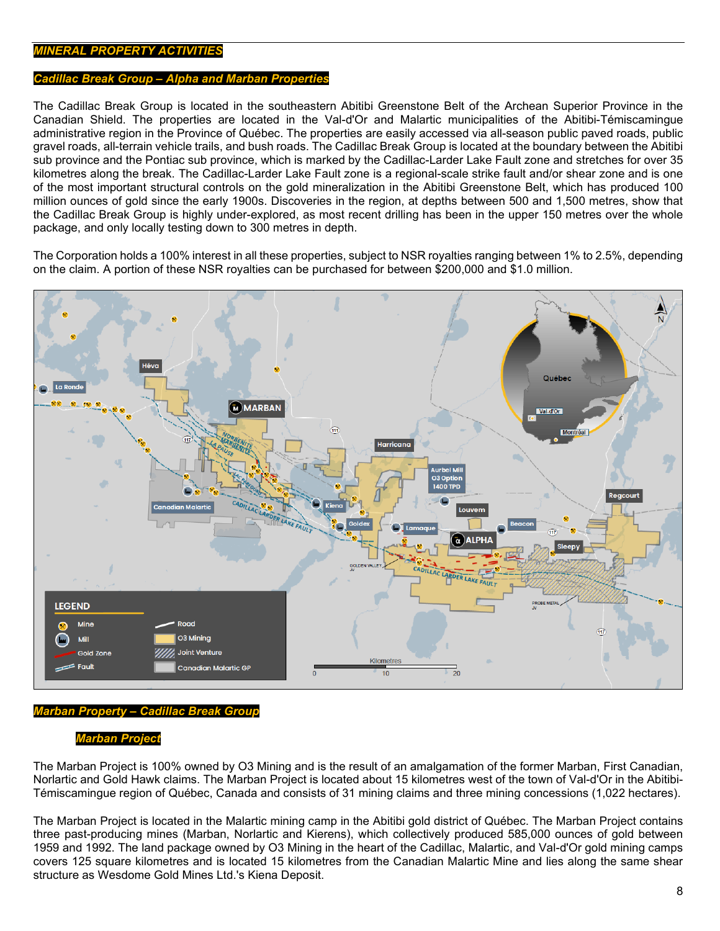# *MINERAL PROPERTY ACTIVITIES*

### *Cadillac Break Group – Alpha and Marban Properties*

The Cadillac Break Group is located in the southeastern Abitibi Greenstone Belt of the Archean Superior Province in the Canadian Shield. The properties are located in the Val-d'Or and Malartic municipalities of the Abitibi-Témiscamingue administrative region in the Province of Québec. The properties are easily accessed via all-season public paved roads, public gravel roads, all-terrain vehicle trails, and bush roads. The Cadillac Break Group is located at the boundary between the Abitibi sub province and the Pontiac sub province, which is marked by the Cadillac-Larder Lake Fault zone and stretches for over 35 kilometres along the break. The Cadillac-Larder Lake Fault zone is a regional-scale strike fault and/or shear zone and is one of the most important structural controls on the gold mineralization in the Abitibi Greenstone Belt, which has produced 100 million ounces of gold since the early 1900s. Discoveries in the region, at depths between 500 and 1,500 metres, show that the Cadillac Break Group is highly under-explored, as most recent drilling has been in the upper 150 metres over the whole package, and only locally testing down to 300 metres in depth.

The Corporation holds a 100% interest in all these properties, subject to NSR royalties ranging between 1% to 2.5%, depending on the claim. A portion of these NSR royalties can be purchased for between \$200,000 and \$1.0 million.



# *Marban Property – Cadillac Break Group*

#### *Marban Project*

The Marban Project is 100% owned by O3 Mining and is the result of an amalgamation of the former Marban, First Canadian, Norlartic and Gold Hawk claims. The Marban Project is located about 15 kilometres west of the town of Val-d'Or in the Abitibi-Témiscamingue region of Québec, Canada and consists of 31 mining claims and three mining concessions (1,022 hectares).

The Marban Project is located in the Malartic mining camp in the Abitibi gold district of Québec. The Marban Project contains three past-producing mines (Marban, Norlartic and Kierens), which collectively produced 585,000 ounces of gold between 1959 and 1992. The land package owned by O3 Mining in the heart of the Cadillac, Malartic, and Val-d'Or gold mining camps covers 125 square kilometres and is located 15 kilometres from the Canadian Malartic Mine and lies along the same shear structure as Wesdome Gold Mines Ltd.'s Kiena Deposit.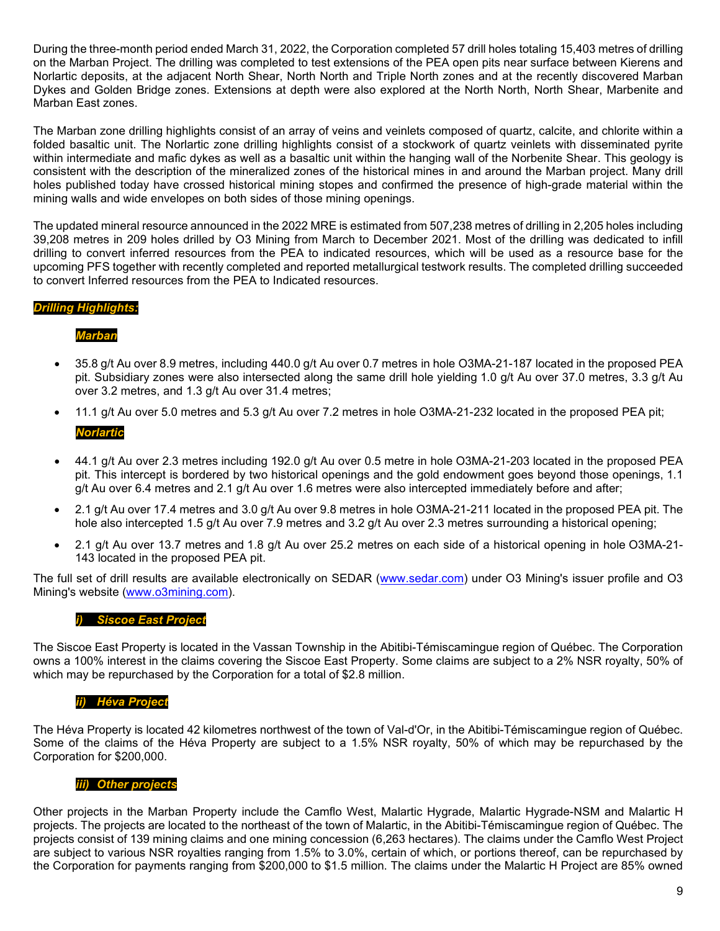During the three-month period ended March 31, 2022, the Corporation completed 57 drill holes totaling 15,403 metres of drilling on the Marban Project. The drilling was completed to test extensions of the PEA open pits near surface between Kierens and Norlartic deposits, at the adjacent North Shear, North North and Triple North zones and at the recently discovered Marban Dykes and Golden Bridge zones. Extensions at depth were also explored at the North North, North Shear, Marbenite and Marban East zones.

The Marban zone drilling highlights consist of an array of veins and veinlets composed of quartz, calcite, and chlorite within a folded basaltic unit. The Norlartic zone drilling highlights consist of a stockwork of quartz veinlets with disseminated pyrite within intermediate and mafic dykes as well as a basaltic unit within the hanging wall of the Norbenite Shear. This geology is consistent with the description of the mineralized zones of the historical mines in and around the Marban project. Many drill holes published today have crossed historical mining stopes and confirmed the presence of high-grade material within the mining walls and wide envelopes on both sides of those mining openings.

The updated mineral resource announced in the 2022 MRE is estimated from 507,238 metres of drilling in 2,205 holes including 39,208 metres in 209 holes drilled by O3 Mining from March to December 2021. Most of the drilling was dedicated to infill drilling to convert inferred resources from the PEA to indicated resources, which will be used as a resource base for the upcoming PFS together with recently completed and reported metallurgical testwork results. The completed drilling succeeded to convert Inferred resources from the PEA to Indicated resources.

# *Drilling Highlights:*

# *Marban*

- 35.8 g/t Au over 8.9 metres, including 440.0 g/t Au over 0.7 metres in hole O3MA-21-187 located in the proposed PEA pit. Subsidiary zones were also intersected along the same drill hole yielding 1.0 g/t Au over 37.0 metres, 3.3 g/t Au over 3.2 metres, and 1.3 g/t Au over 31.4 metres;
- 11.1 g/t Au over 5.0 metres and 5.3 g/t Au over 7.2 metres in hole O3MA-21-232 located in the proposed PEA pit; *Norlartic*
- 44.1 g/t Au over 2.3 metres including 192.0 g/t Au over 0.5 metre in hole O3MA-21-203 located in the proposed PEA pit. This intercept is bordered by two historical openings and the gold endowment goes beyond those openings, 1.1 g/t Au over 6.4 metres and 2.1 g/t Au over 1.6 metres were also intercepted immediately before and after;
- 2.1 g/t Au over 17.4 metres and 3.0 g/t Au over 9.8 metres in hole O3MA-21-211 located in the proposed PEA pit. The hole also intercepted 1.5 g/t Au over 7.9 metres and 3.2 g/t Au over 2.3 metres surrounding a historical opening;
- 2.1 g/t Au over 13.7 metres and 1.8 g/t Au over 25.2 metres on each side of a historical opening in hole O3MA-21- 143 located in the proposed PEA pit.

The full set of drill results are available electronically on SEDAR [\(www.sedar.com\)](http://www.sedar.com/) under O3 Mining's issuer profile and O3 Mining's website [\(www.o3mining.com\)](http://www.o3mining.com/).

# *i) Siscoe East Project*

The Siscoe East Property is located in the Vassan Township in the Abitibi-Témiscamingue region of Québec. The Corporation owns a 100% interest in the claims covering the Siscoe East Property. Some claims are subject to a 2% NSR royalty, 50% of which may be repurchased by the Corporation for a total of \$2.8 million.

# *ii) Héva Project*

The Héva Property is located 42 kilometres northwest of the town of Val-d'Or, in the Abitibi-Témiscamingue region of Québec. Some of the claims of the Héva Property are subject to a 1.5% NSR royalty, 50% of which may be repurchased by the Corporation for \$200,000.

# *iii) Other projects*

Other projects in the Marban Property include the Camflo West, Malartic Hygrade, Malartic Hygrade-NSM and Malartic H projects. The projects are located to the northeast of the town of Malartic, in the Abitibi-Témiscamingue region of Québec. The projects consist of 139 mining claims and one mining concession (6,263 hectares). The claims under the Camflo West Project are subject to various NSR royalties ranging from 1.5% to 3.0%, certain of which, or portions thereof, can be repurchased by the Corporation for payments ranging from \$200,000 to \$1.5 million. The claims under the Malartic H Project are 85% owned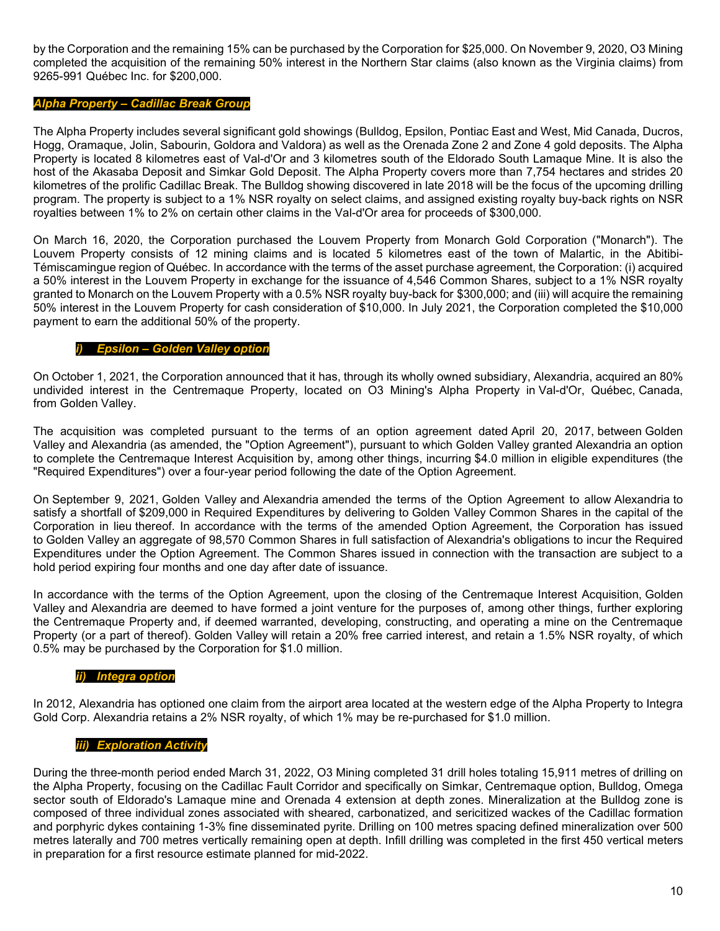by the Corporation and the remaining 15% can be purchased by the Corporation for \$25,000. On November 9, 2020, O3 Mining completed the acquisition of the remaining 50% interest in the Northern Star claims (also known as the Virginia claims) from 9265-991 Québec Inc. for \$200,000.

# *Alpha Property – Cadillac Break Group*

The Alpha Property includes several significant gold showings (Bulldog, Epsilon, Pontiac East and West, Mid Canada, Ducros, Hogg, Oramaque, Jolin, Sabourin, Goldora and Valdora) as well as the Orenada Zone 2 and Zone 4 gold deposits. The Alpha Property is located 8 kilometres east of Val-d'Or and 3 kilometres south of the Eldorado South Lamaque Mine. It is also the host of the Akasaba Deposit and Simkar Gold Deposit. The Alpha Property covers more than 7,754 hectares and strides 20 kilometres of the prolific Cadillac Break. The Bulldog showing discovered in late 2018 will be the focus of the upcoming drilling program. The property is subject to a 1% NSR royalty on select claims, and assigned existing royalty buy-back rights on NSR royalties between 1% to 2% on certain other claims in the Val-d'Or area for proceeds of \$300,000.

On March 16, 2020, the Corporation purchased the Louvem Property from Monarch Gold Corporation ("Monarch"). The Louvem Property consists of 12 mining claims and is located 5 kilometres east of the town of Malartic, in the Abitibi-Témiscamingue region of Québec. In accordance with the terms of the asset purchase agreement, the Corporation: (i) acquired a 50% interest in the Louvem Property in exchange for the issuance of 4,546 Common Shares, subject to a 1% NSR royalty granted to Monarch on the Louvem Property with a 0.5% NSR royalty buy-back for \$300,000; and (iii) will acquire the remaining 50% interest in the Louvem Property for cash consideration of \$10,000. In July 2021, the Corporation completed the \$10,000 payment to earn the additional 50% of the property.

# *i) Epsilon – Golden Valley option*

On October 1, 2021, the Corporation announced that it has, through its wholly owned subsidiary, Alexandria, acquired an 80% undivided interest in the Centremaque Property, located on O3 Mining's Alpha Property in Val-d'Or, Québec, Canada, from Golden Valley.

The acquisition was completed pursuant to the terms of an option agreement dated April 20, 2017, between Golden Valley and Alexandria (as amended, the "Option Agreement"), pursuant to which Golden Valley granted Alexandria an option to complete the Centremaque Interest Acquisition by, among other things, incurring \$4.0 million in eligible expenditures (the "Required Expenditures") over a four-year period following the date of the Option Agreement.

On September 9, 2021, Golden Valley and Alexandria amended the terms of the Option Agreement to allow Alexandria to satisfy a shortfall of \$209,000 in Required Expenditures by delivering to Golden Valley Common Shares in the capital of the Corporation in lieu thereof. In accordance with the terms of the amended Option Agreement, the Corporation has issued to Golden Valley an aggregate of 98,570 Common Shares in full satisfaction of Alexandria's obligations to incur the Required Expenditures under the Option Agreement. The Common Shares issued in connection with the transaction are subject to a hold period expiring four months and one day after date of issuance.

In accordance with the terms of the Option Agreement, upon the closing of the Centremaque Interest Acquisition, Golden Valley and Alexandria are deemed to have formed a joint venture for the purposes of, among other things, further exploring the Centremaque Property and, if deemed warranted, developing, constructing, and operating a mine on the Centremaque Property (or a part of thereof). Golden Valley will retain a 20% free carried interest, and retain a 1.5% NSR royalty, of which 0.5% may be purchased by the Corporation for \$1.0 million.

# *ii) Integra option*

In 2012, Alexandria has optioned one claim from the airport area located at the western edge of the Alpha Property to Integra Gold Corp. Alexandria retains a 2% NSR royalty, of which 1% may be re-purchased for \$1.0 million.

# *iii) Exploration Activity*

During the three-month period ended March 31, 2022, O3 Mining completed 31 drill holes totaling 15,911 metres of drilling on the Alpha Property, focusing on the Cadillac Fault Corridor and specifically on Simkar, Centremaque option, Bulldog, Omega sector south of Eldorado's Lamaque mine and Orenada 4 extension at depth zones. Mineralization at the Bulldog zone is composed of three individual zones associated with sheared, carbonatized, and sericitized wackes of the Cadillac formation and porphyric dykes containing 1-3% fine disseminated pyrite. Drilling on 100 metres spacing defined mineralization over 500 metres laterally and 700 metres vertically remaining open at depth. Infill drilling was completed in the first 450 vertical meters in preparation for a first resource estimate planned for mid-2022.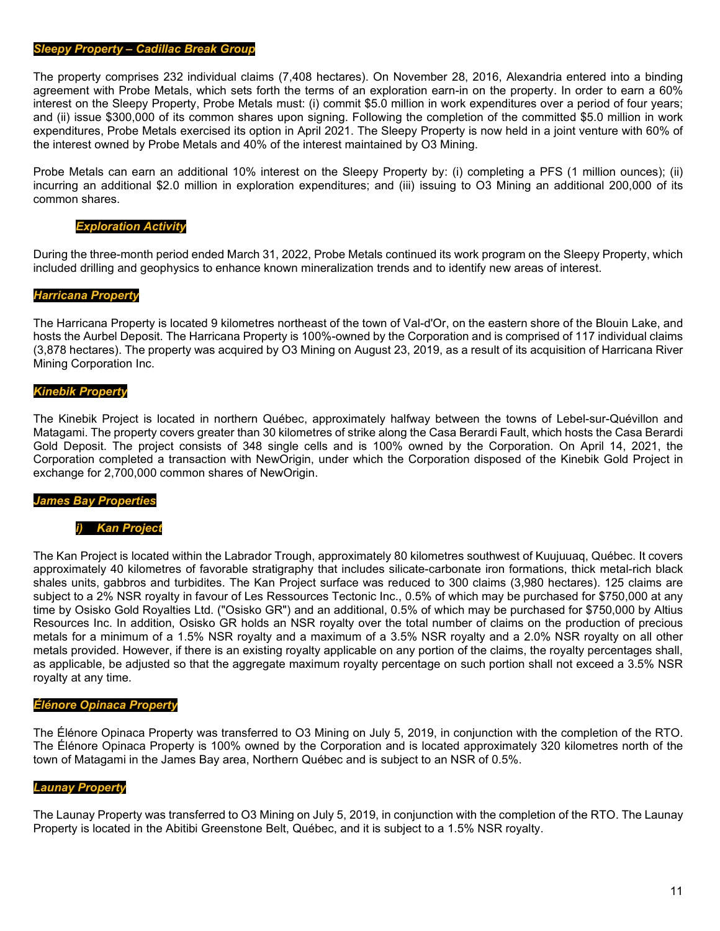#### *Sleepy Property – Cadillac Break Group*

The property comprises 232 individual claims (7,408 hectares). On November 28, 2016, Alexandria entered into a binding agreement with Probe Metals, which sets forth the terms of an exploration earn-in on the property. In order to earn a 60% interest on the Sleepy Property, Probe Metals must: (i) commit \$5.0 million in work expenditures over a period of four years; and (ii) issue \$300,000 of its common shares upon signing. Following the completion of the committed \$5.0 million in work expenditures, Probe Metals exercised its option in April 2021. The Sleepy Property is now held in a joint venture with 60% of the interest owned by Probe Metals and 40% of the interest maintained by O3 Mining.

Probe Metals can earn an additional 10% interest on the Sleepy Property by: (i) completing a PFS (1 million ounces); (ii) incurring an additional \$2.0 million in exploration expenditures; and (iii) issuing to O3 Mining an additional 200,000 of its common shares.

#### *Exploration Activity*

During the three-month period ended March 31, 2022, Probe Metals continued its work program on the Sleepy Property, which included drilling and geophysics to enhance known mineralization trends and to identify new areas of interest.

#### *Harricana Property*

The Harricana Property is located 9 kilometres northeast of the town of Val-d'Or, on the eastern shore of the Blouin Lake, and hosts the Aurbel Deposit. The Harricana Property is 100%-owned by the Corporation and is comprised of 117 individual claims (3,878 hectares). The property was acquired by O3 Mining on August 23, 2019, as a result of its acquisition of Harricana River Mining Corporation Inc.

#### *Kinebik Property*

The Kinebik Project is located in northern Québec, approximately halfway between the towns of Lebel-sur-Quévillon and Matagami. The property covers greater than 30 kilometres of strike along the Casa Berardi Fault, which hosts the Casa Berardi Gold Deposit. The project consists of 348 single cells and is 100% owned by the Corporation. On April 14, 2021, the Corporation completed a transaction with NewOrigin, under which the Corporation disposed of the Kinebik Gold Project in exchange for 2,700,000 common shares of NewOrigin.

#### *James Bay Properties*

#### *i) Kan Project*

The Kan Project is located within the Labrador Trough, approximately 80 kilometres southwest of Kuujuuaq, Québec. It covers approximately 40 kilometres of favorable stratigraphy that includes silicate-carbonate iron formations, thick metal-rich black shales units, gabbros and turbidites. The Kan Project surface was reduced to 300 claims (3,980 hectares). 125 claims are subject to a 2% NSR royalty in favour of Les Ressources Tectonic Inc., 0.5% of which may be purchased for \$750,000 at any time by Osisko Gold Royalties Ltd. ("Osisko GR") and an additional, 0.5% of which may be purchased for \$750,000 by Altius Resources Inc. In addition, Osisko GR holds an NSR royalty over the total number of claims on the production of precious metals for a minimum of a 1.5% NSR royalty and a maximum of a 3.5% NSR royalty and a 2.0% NSR royalty on all other metals provided. However, if there is an existing royalty applicable on any portion of the claims, the royalty percentages shall, as applicable, be adjusted so that the aggregate maximum rovalty percentage on such portion shall not exceed a 3.5% NSR royalty at any time.

#### *Élénore Opinaca Property*

The Élénore Opinaca Property was transferred to O3 Mining on July 5, 2019, in conjunction with the completion of the RTO. The Élénore Opinaca Property is 100% owned by the Corporation and is located approximately 320 kilometres north of the town of Matagami in the James Bay area, Northern Québec and is subject to an NSR of 0.5%.

#### *Launay Property*

The Launay Property was transferred to O3 Mining on July 5, 2019, in conjunction with the completion of the RTO. The Launay Property is located in the Abitibi Greenstone Belt, Québec, and it is subject to a 1.5% NSR royalty.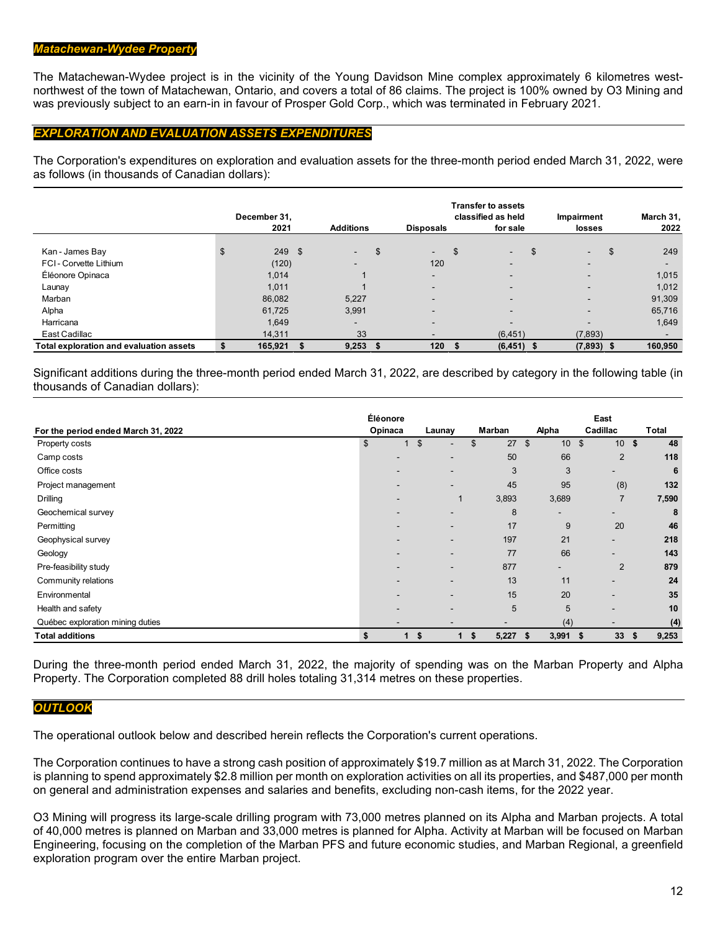# *Matachewan-Wydee Property*

The Matachewan-Wydee project is in the vicinity of the Young Davidson Mine complex approximately 6 kilometres westnorthwest of the town of Matachewan, Ontario, and covers a total of 86 claims. The project is 100% owned by O3 Mining and was previously subject to an earn-in in favour of Prosper Gold Corp., which was terminated in February 2021.

# *EXPLORATION AND EVALUATION ASSETS EXPENDITURES*

The Corporation's expenditures on exploration and evaluation assets for the three-month period ended March 31, 2022, were as follows (in thousands of Canadian dollars):

|                                         | December 31,   |                          |     |                          | <b>Transfer to assets</b><br>classified as held | Impairment               | March 31,      |
|-----------------------------------------|----------------|--------------------------|-----|--------------------------|-------------------------------------------------|--------------------------|----------------|
|                                         | 2021           | <b>Additions</b>         |     | <b>Disposals</b>         | for sale                                        | losses                   | 2022           |
| Kan - James Bay                         | \$<br>$249$ \$ | $\blacksquare$           | \$  | $\sim$                   | \$<br>\$<br>$\sim$                              | $\sim$                   | \$<br>249      |
| FCI-Corvette Lithium                    | (120)          | $\overline{\phantom{0}}$ |     | 120                      | $\sim$                                          | $\overline{\phantom{0}}$ |                |
| Éléonore Opinaca                        | 1,014          |                          |     | $\overline{\phantom{a}}$ | $\overline{\phantom{0}}$                        | $\overline{\phantom{0}}$ | 1,015          |
| Launay                                  | 1.011          |                          |     | $\overline{\phantom{a}}$ | $\sim$                                          | $\overline{\phantom{0}}$ | 1,012          |
| Marban                                  | 86.082         | 5,227                    |     | $\overline{\phantom{a}}$ | $\overline{\phantom{0}}$                        | $\overline{\phantom{a}}$ | 91,309         |
| Alpha                                   | 61,725         | 3,991                    |     | $\overline{\phantom{0}}$ | $\overline{\phantom{0}}$                        | $\overline{\phantom{0}}$ | 65,716         |
| Harricana                               | 1,649          | -                        |     | $\overline{\phantom{a}}$ | $\overline{\phantom{0}}$                        |                          | 1,649          |
| East Cadillac                           | 14.311         | 33                       |     | $\overline{\phantom{a}}$ | (6, 451)                                        | (7,893)                  | $\blacksquare$ |
| Total exploration and evaluation assets | \$<br>165,921  | 9,253                    | - S | 120                      | $(6,451)$ \$                                    | $(7,893)$ \$             | 160,950        |

Significant additions during the three-month period ended March 31, 2022, are described by category in the following table (in thousands of Canadian dollars):

|                                     | Éléonore      |                                |                          |                                   | East                              |             |
|-------------------------------------|---------------|--------------------------------|--------------------------|-----------------------------------|-----------------------------------|-------------|
| For the period ended March 31, 2022 | Opinaca       | Launay                         | Marban                   | Alpha                             | Cadillac                          | Total       |
| Property costs                      | $\frac{2}{3}$ | \$<br>$\overline{\phantom{a}}$ | 27<br>\$                 | $\mathfrak{S}$<br>10 <sup>1</sup> | $\mathfrak{S}$<br>10 <sup>1</sup> | \$<br>48    |
| Camp costs                          |               | -                              | 50                       | 66                                | 2                                 | 118         |
| Office costs                        |               | -                              | 3                        | 3                                 | ۰.                                | 6           |
| Project management                  |               | $\overline{\phantom{a}}$       | 45                       | 95                                | (8)                               | 132         |
| Drilling                            |               |                                | 3,893                    | 3,689                             | $\overline{7}$                    | 7,590       |
| Geochemical survey                  |               | $\overline{\phantom{a}}$       | 8                        | -                                 |                                   | 8           |
| Permitting                          |               | $\overline{\phantom{a}}$       | 17                       | 9                                 | 20                                | 46          |
| Geophysical survey                  |               | $\overline{\phantom{a}}$       | 197                      | 21                                | $\overline{\phantom{0}}$          | 218         |
| Geology                             |               | $\overline{\phantom{0}}$       | 77                       | 66                                |                                   | 143         |
| Pre-feasibility study               |               | $\overline{\phantom{a}}$       | 877                      | $\overline{\phantom{a}}$          | $\overline{2}$                    | 879         |
| Community relations                 |               | $\overline{\phantom{a}}$       | 13                       | 11                                |                                   | 24          |
| Environmental                       |               | $\overline{\phantom{a}}$       | 15                       | 20                                |                                   | 35          |
| Health and safety                   |               |                                | 5                        | 5                                 | $\overline{\phantom{0}}$          | 10          |
| Québec exploration mining duties    |               | $\overline{\phantom{a}}$       | $\overline{\phantom{a}}$ | (4)                               | $\overline{\phantom{a}}$          | (4)         |
| <b>Total additions</b>              | \$<br>1       | \$<br>1                        | 5,227<br>\$              | $3,991$ \$<br>$\sim$ \$           | 33                                | 9,253<br>\$ |

During the three-month period ended March 31, 2022, the majority of spending was on the Marban Property and Alpha Property. The Corporation completed 88 drill holes totaling 31,314 metres on these properties.

# *OUTLOOK*

The operational outlook below and described herein reflects the Corporation's current operations.

The Corporation continues to have a strong cash position of approximately \$19.7 million as at March 31, 2022. The Corporation is planning to spend approximately \$2.8 million per month on exploration activities on all its properties, and \$487,000 per month on general and administration expenses and salaries and benefits, excluding non-cash items, for the 2022 year.

O3 Mining will progress its large-scale drilling program with 73,000 metres planned on its Alpha and Marban projects. A total of 40,000 metres is planned on Marban and 33,000 metres is planned for Alpha. Activity at Marban will be focused on Marban Engineering, focusing on the completion of the Marban PFS and future economic studies, and Marban Regional, a greenfield exploration program over the entire Marban project.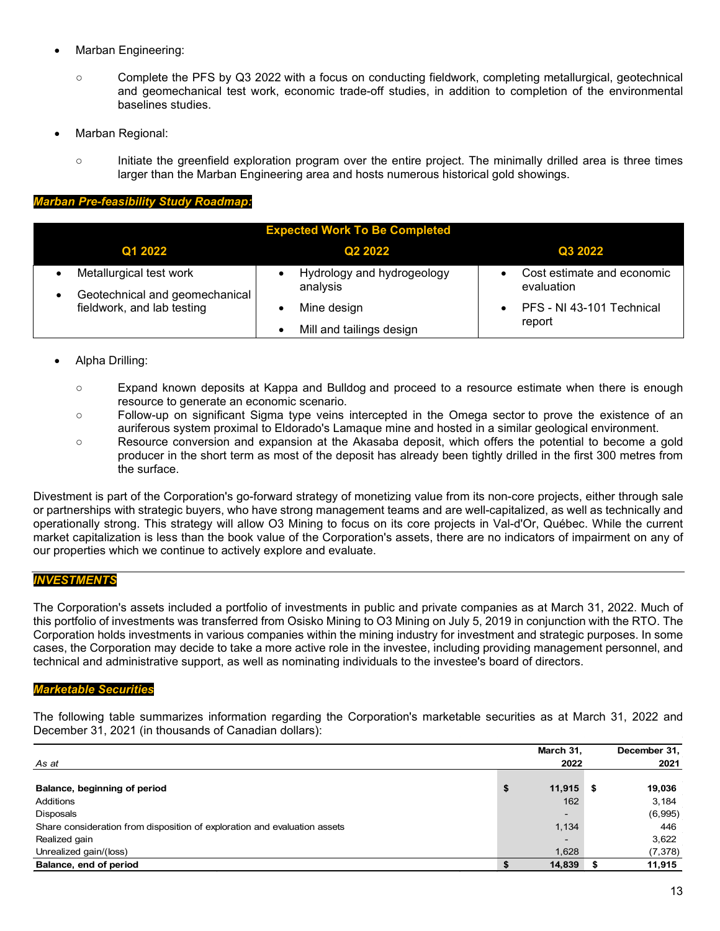- Marban Engineering:
	- Complete the PFS by Q3 2022 with a focus on conducting fieldwork, completing metallurgical, geotechnical and geomechanical test work, economic trade-off studies, in addition to completion of the environmental baselines studies.
- Marban Regional:
	- Initiate the greenfield exploration program over the entire project. The minimally drilled area is three times larger than the Marban Engineering area and hosts numerous historical gold showings.

#### *Marban Pre-feasibility Study Roadmap:*

| <b>Expected Work To Be Completed</b>                         |                                        |                                          |  |  |  |  |  |  |  |
|--------------------------------------------------------------|----------------------------------------|------------------------------------------|--|--|--|--|--|--|--|
| Q1 2022                                                      | Q <sub>2</sub> 2022                    | Q3 2022                                  |  |  |  |  |  |  |  |
| Metallurgical test work                                      | Hydrology and hydrogeology<br>analysis | Cost estimate and economic<br>evaluation |  |  |  |  |  |  |  |
| Geotechnical and geomechanical<br>fieldwork, and lab testing | Mine design                            | PFS - NI 43-101 Technical                |  |  |  |  |  |  |  |
|                                                              | Mill and tailings design               | report                                   |  |  |  |  |  |  |  |

# • Alpha Drilling:

- Expand known deposits at Kappa and Bulldog and proceed to a resource estimate when there is enough resource to generate an economic scenario.
- Follow-up on significant Sigma type veins intercepted in the Omega sector to prove the existence of an auriferous system proximal to Eldorado's Lamaque mine and hosted in a similar geological environment.
- Resource conversion and expansion at the Akasaba deposit, which offers the potential to become a gold producer in the short term as most of the deposit has already been tightly drilled in the first 300 metres from the surface.

Divestment is part of the Corporation's go-forward strategy of monetizing value from its non-core projects, either through sale or partnerships with strategic buyers, who have strong management teams and are well-capitalized, as well as technically and operationally strong. This strategy will allow O3 Mining to focus on its core projects in Val-d'Or, Québec. While the current market capitalization is less than the book value of the Corporation's assets, there are no indicators of impairment on any of our properties which we continue to actively explore and evaluate.

# *INVESTMENTS*

The Corporation's assets included a portfolio of investments in public and private companies as at March 31, 2022. Much of this portfolio of investments was transferred from Osisko Mining to O3 Mining on July 5, 2019 in conjunction with the RTO. The Corporation holds investments in various companies within the mining industry for investment and strategic purposes. In some cases, the Corporation may decide to take a more active role in the investee, including providing management personnel, and technical and administrative support, as well as nominating individuals to the investee's board of directors.

#### *Marketable Securities*

The following table summarizes information regarding the Corporation's marketable securities as at March 31, 2022 and December 31, 2021 (in thousands of Canadian dollars):

|                                                                           | March 31,                | December 31, |
|---------------------------------------------------------------------------|--------------------------|--------------|
| As at                                                                     | 2022                     | 2021         |
|                                                                           |                          |              |
| Balance, beginning of period                                              | \$<br>11,915             | \$<br>19,036 |
| Additions                                                                 | 162                      | 3,184        |
| <b>Disposals</b>                                                          | $\overline{\phantom{0}}$ | (6,995)      |
| Share consideration from disposition of exploration and evaluation assets | 1,134                    | 446          |
| Realized gain                                                             | -                        | 3,622        |
| Unrealized gain/(loss)                                                    | 1,628                    | (7, 378)     |
| Balance, end of period                                                    | 14,839                   | 11,915       |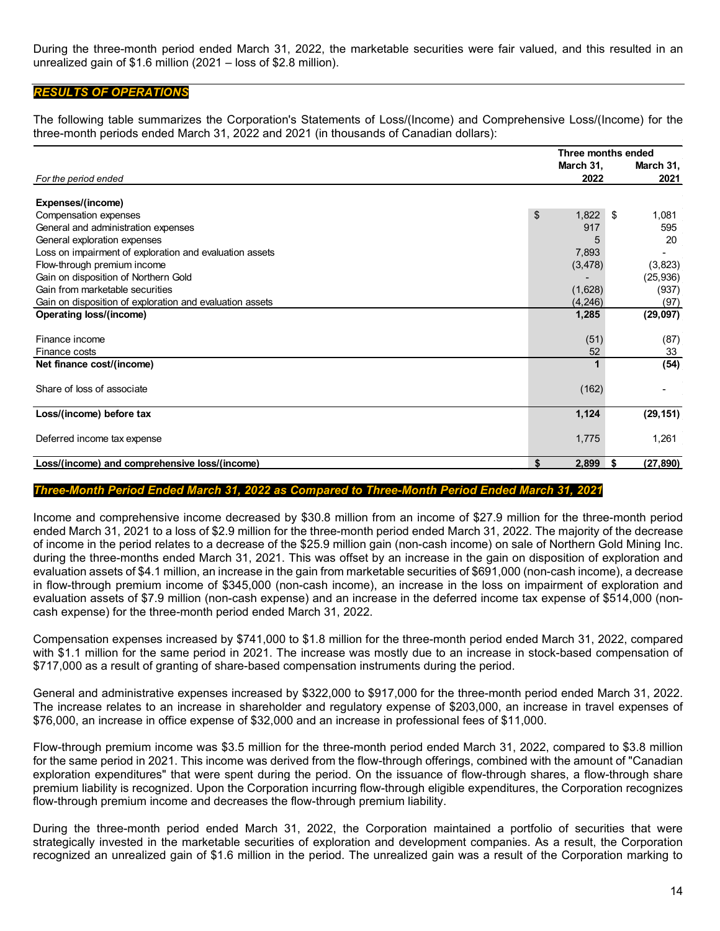During the three-month period ended March 31, 2022, the marketable securities were fair valued, and this resulted in an unrealized gain of \$1.6 million (2021 – loss of \$2.8 million).

# *RESULTS OF OPERATIONS*

The following table summarizes the Corporation's Statements of Loss/(Income) and Comprehensive Loss/(Income) for the three-month periods ended March 31, 2022 and 2021 (in thousands of Canadian dollars):

|                                                          | Three months ended |                   |
|----------------------------------------------------------|--------------------|-------------------|
|                                                          | March 31,          | March 31,         |
| For the period ended                                     | 2022               | 2021              |
|                                                          |                    |                   |
| Expenses/(income)                                        |                    |                   |
| Compensation expenses                                    | \$<br>1,822        | 1,081<br>-\$      |
| General and administration expenses                      | 917                | 595               |
| General exploration expenses                             |                    | 20                |
| Loss on impairment of exploration and evaluation assets  | 7,893              |                   |
| Flow-through premium income                              | (3, 478)           | (3,823)           |
| Gain on disposition of Northern Gold                     |                    | (25, 936)         |
| Gain from marketable securities                          | (1,628)            | (937)             |
| Gain on disposition of exploration and evaluation assets | (4,246)            | (97)              |
| Operating loss/(income)                                  | 1,285              | (29,097)          |
|                                                          |                    |                   |
| Finance income                                           | (51)               | (87)              |
| Finance costs                                            | 52                 | 33                |
| Net finance cost/(income)                                |                    | (54)              |
|                                                          |                    |                   |
| Share of loss of associate                               | (162)              |                   |
|                                                          |                    |                   |
| Loss/(income) before tax                                 | 1,124              | (29, 151)         |
|                                                          |                    |                   |
| Deferred income tax expense                              | 1,775              | 1,261             |
|                                                          |                    |                   |
| Loss/(income) and comprehensive loss/(income)            | \$<br>2,899        | (27, 890)<br>- \$ |

#### *Three-Month Period Ended March 31, 2022 as Compared to Three-Month Period Ended March 31, 2021*

Income and comprehensive income decreased by \$30.8 million from an income of \$27.9 million for the three-month period ended March 31, 2021 to a loss of \$2.9 million for the three-month period ended March 31, 2022. The majority of the decrease of income in the period relates to a decrease of the \$25.9 million gain (non-cash income) on sale of Northern Gold Mining Inc. during the three-months ended March 31, 2021. This was offset by an increase in the gain on disposition of exploration and evaluation assets of \$4.1 million, an increase in the gain from marketable securities of \$691,000 (non-cash income), a decrease in flow-through premium income of \$345,000 (non-cash income), an increase in the loss on impairment of exploration and evaluation assets of \$7.9 million (non-cash expense) and an increase in the deferred income tax expense of \$514,000 (noncash expense) for the three-month period ended March 31, 2022.

Compensation expenses increased by \$741,000 to \$1.8 million for the three-month period ended March 31, 2022, compared with \$1.1 million for the same period in 2021. The increase was mostly due to an increase in stock-based compensation of \$717,000 as a result of granting of share-based compensation instruments during the period.

General and administrative expenses increased by \$322,000 to \$917,000 for the three-month period ended March 31, 2022. The increase relates to an increase in shareholder and regulatory expense of \$203,000, an increase in travel expenses of \$76,000, an increase in office expense of \$32,000 and an increase in professional fees of \$11,000.

Flow-through premium income was \$3.5 million for the three-month period ended March 31, 2022, compared to \$3.8 million for the same period in 2021. This income was derived from the flow-through offerings, combined with the amount of "Canadian exploration expenditures" that were spent during the period. On the issuance of flow-through shares, a flow-through share premium liability is recognized. Upon the Corporation incurring flow-through eligible expenditures, the Corporation recognizes flow-through premium income and decreases the flow-through premium liability.

During the three-month period ended March 31, 2022, the Corporation maintained a portfolio of securities that were strategically invested in the marketable securities of exploration and development companies. As a result, the Corporation recognized an unrealized gain of \$1.6 million in the period. The unrealized gain was a result of the Corporation marking to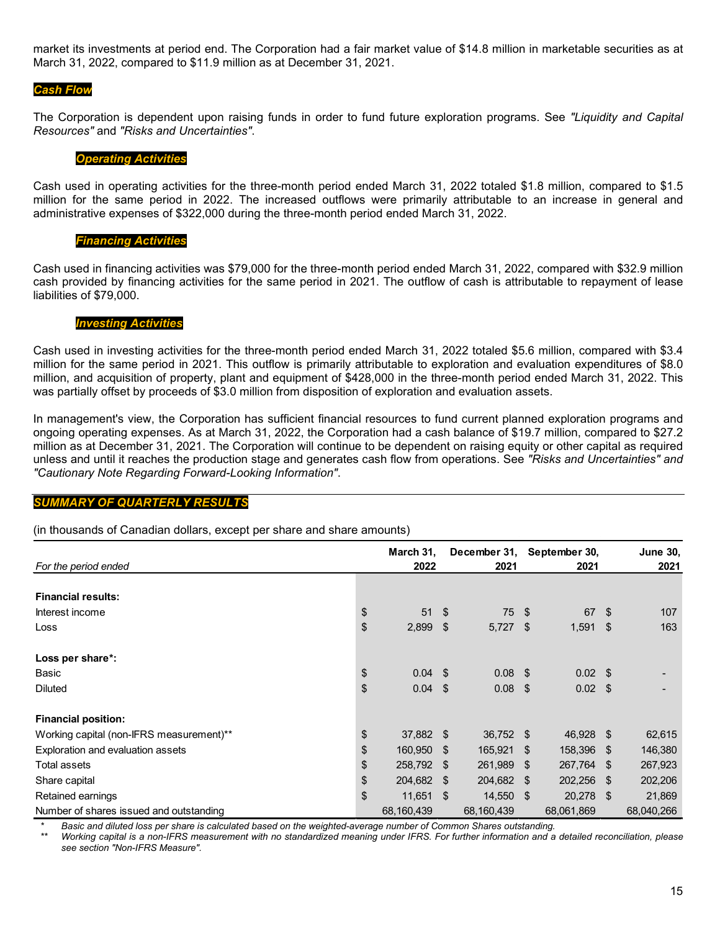market its investments at period end. The Corporation had a fair market value of \$14.8 million in marketable securities as at March 31, 2022, compared to \$11.9 million as at December 31, 2021.

### *Cash Flow*

The Corporation is dependent upon raising funds in order to fund future exploration programs. See *"Liquidity and Capital Resources"* and *"Risks and Uncertainties"*.

#### *Operating Activities*

Cash used in operating activities for the three-month period ended March 31, 2022 totaled \$1.8 million, compared to \$1.5 million for the same period in 2022. The increased outflows were primarily attributable to an increase in general and administrative expenses of \$322,000 during the three-month period ended March 31, 2022.

# *Financing Activities*

Cash used in financing activities was \$79,000 for the three-month period ended March 31, 2022, compared with \$32.9 million cash provided by financing activities for the same period in 2021. The outflow of cash is attributable to repayment of lease liabilities of \$79,000.

#### *Investing Activities*

Cash used in investing activities for the three-month period ended March 31, 2022 totaled \$5.6 million, compared with \$3.4 million for the same period in 2021. This outflow is primarily attributable to exploration and evaluation expenditures of \$8.0 million, and acquisition of property, plant and equipment of \$428,000 in the three-month period ended March 31, 2022. This was partially offset by proceeds of \$3.0 million from disposition of exploration and evaluation assets.

In management's view, the Corporation has sufficient financial resources to fund current planned exploration programs and ongoing operating expenses. As at March 31, 2022, the Corporation had a cash balance of \$19.7 million, compared to \$27.2 million as at December 31, 2021. The Corporation will continue to be dependent on raising equity or other capital as required unless and until it reaches the production stage and generates cash flow from operations. See *"Risks and Uncertainties" and "Cautionary Note Regarding Forward-Looking Information"*.

#### *SUMMARY OF QUARTERLY RESULTS*

#### (in thousands of Canadian dollars, except per share and share amounts)

| For the period ended                     | March 31,<br>2022 |      | December 31, September 30,<br>2021 | 2021            | <b>June 30,</b><br>2021 |
|------------------------------------------|-------------------|------|------------------------------------|-----------------|-------------------------|
|                                          |                   |      |                                    |                 |                         |
| <b>Financial results:</b>                |                   |      |                                    |                 |                         |
| Interest income                          | \$<br>51          | -\$  | 75 \$                              | 67 \$           | 107                     |
| Loss                                     | \$<br>2,899       | -\$  | $5,727$ \$                         | $1,591$ \$      | 163                     |
| Loss per share*:                         |                   |      |                                    |                 |                         |
| Basic                                    | \$<br>$0.04$ \$   |      | $0.08$ \$                          | $0.02 \quad $$  |                         |
| <b>Diluted</b>                           | \$<br>0.04        | -\$  | $0.08$ \$                          | $0.02 \quad$ \$ |                         |
| <b>Financial position:</b>               |                   |      |                                    |                 |                         |
| Working capital (non-IFRS measurement)** | \$<br>37,882      | - \$ | 36,752 \$                          | 46,928 \$       | 62,615                  |
| Exploration and evaluation assets        | \$<br>160,950     | - \$ | 165,921 \$                         | 158,396 \$      | 146,380                 |
| Total assets                             | \$<br>258,792     | - \$ | 261,989 \$                         | 267,764 \$      | 267,923                 |
| Share capital                            | \$<br>204,682     | -\$  | 204,682 \$                         | 202,256 \$      | 202,206                 |
| Retained earnings                        | \$<br>11,651      | -\$  | 14,550 \$                          | 20,278 \$       | 21,869                  |
| Number of shares issued and outstanding  | 68,160,439        |      | 68,160,439                         | 68,061,869      | 68,040,266              |

*\* Basic and diluted loss per share is calculated based on the weighted-average number of Common Shares outstanding.* 

*\*\* Working capital is a non-IFRS measurement with no standardized meaning under IFRS. For further information and a detailed reconciliation, please see section "Non-IFRS Measure".*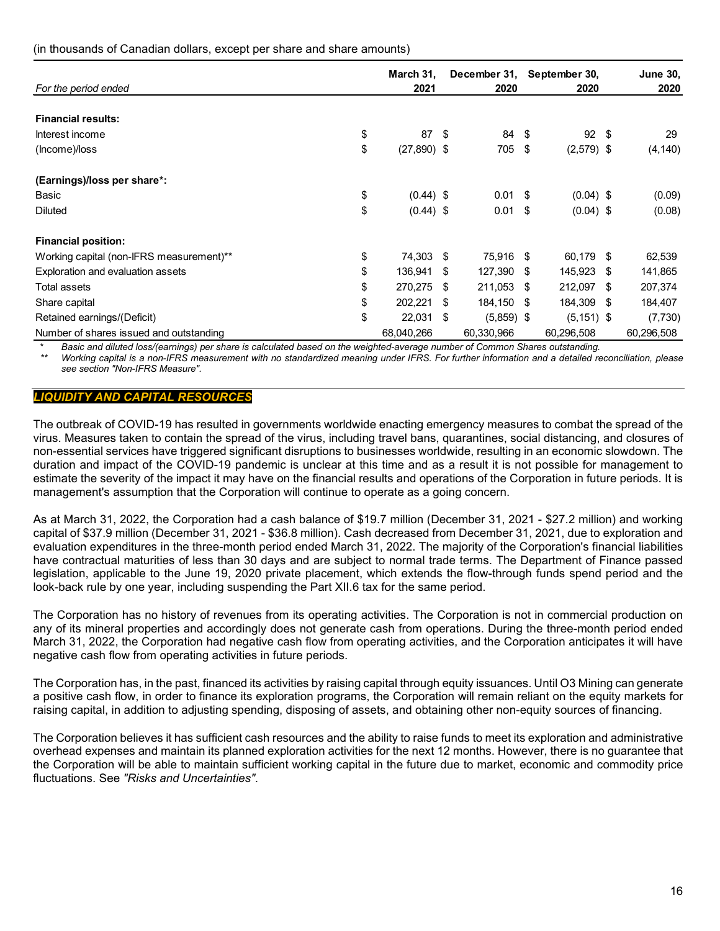# (in thousands of Canadian dollars, except per share and share amounts)

| For the period ended                           | March 31,<br>2021 |      | December 31,<br>2020 |     | September 30,<br>2020 |      | <b>June 30,</b><br>2020 |
|------------------------------------------------|-------------------|------|----------------------|-----|-----------------------|------|-------------------------|
|                                                |                   |      |                      |     |                       |      |                         |
| <b>Financial results:</b>                      |                   |      |                      |     |                       |      |                         |
| \$<br>Interest income                          | 87                | - \$ | 84                   | -\$ | 92                    | \$   | 29                      |
| \$<br>(Income)/loss                            | $(27,890)$ \$     |      | 705                  | \$  | $(2,579)$ \$          |      | (4, 140)                |
| (Earnings)/loss per share*:                    |                   |      |                      |     |                       |      |                         |
| \$<br>Basic                                    | $(0.44)$ \$       |      | 0.01                 | S   | $(0.04)$ \$           |      | (0.09)                  |
| \$<br><b>Diluted</b>                           | $(0.44)$ \$       |      | 0.01                 | -\$ | $(0.04)$ \$           |      | (0.08)                  |
| <b>Financial position:</b>                     |                   |      |                      |     |                       |      |                         |
| \$<br>Working capital (non-IFRS measurement)** | 74,303            | - \$ | 75,916 \$            |     | 60,179                | - \$ | 62,539                  |
| \$<br>Exploration and evaluation assets        | 136,941           | -S   | 127,390 \$           |     | 145,923 \$            |      | 141,865                 |
| \$<br>Total assets                             | 270,275           | S    | 211,053 \$           |     | 212,097               | S    | 207,374                 |
| \$<br>Share capital                            | 202,221           | \$   | 184,150              | -\$ | 184,309               | S    | 184,407                 |
| \$<br>Retained earnings/(Deficit)              | 22,031            | \$   | $(5,859)$ \$         |     | $(5, 151)$ \$         |      | (7, 730)                |
| Number of shares issued and outstanding        | 68,040,266        |      | 60,330,966           |     | 60,296,508            |      | 60,296,508              |

\* *Basic and diluted loss/(earnings) per share is calculated based on the weighted-average number of Common Shares outstanding.* 

*Working capital is a non-IFRS measurement with no standardized meaning under IFRS. For further information and a detailed reconciliation, please see section "Non-IFRS Measure".*

# *LIQUIDITY AND CAPITAL RESOURCES*

The outbreak of COVID-19 has resulted in governments worldwide enacting emergency measures to combat the spread of the virus. Measures taken to contain the spread of the virus, including travel bans, quarantines, social distancing, and closures of non-essential services have triggered significant disruptions to businesses worldwide, resulting in an economic slowdown. The duration and impact of the COVID-19 pandemic is unclear at this time and as a result it is not possible for management to estimate the severity of the impact it may have on the financial results and operations of the Corporation in future periods. It is management's assumption that the Corporation will continue to operate as a going concern.

As at March 31, 2022, the Corporation had a cash balance of \$19.7 million (December 31, 2021 - \$27.2 million) and working capital of \$37.9 million (December 31, 2021 - \$36.8 million). Cash decreased from December 31, 2021, due to exploration and evaluation expenditures in the three-month period ended March 31, 2022. The majority of the Corporation's financial liabilities have contractual maturities of less than 30 days and are subject to normal trade terms. The Department of Finance passed legislation, applicable to the June 19, 2020 private placement, which extends the flow-through funds spend period and the look-back rule by one year, including suspending the Part XII.6 tax for the same period.

The Corporation has no history of revenues from its operating activities. The Corporation is not in commercial production on any of its mineral properties and accordingly does not generate cash from operations. During the three-month period ended March 31, 2022, the Corporation had negative cash flow from operating activities, and the Corporation anticipates it will have negative cash flow from operating activities in future periods.

The Corporation has, in the past, financed its activities by raising capital through equity issuances. Until O3 Mining can generate a positive cash flow, in order to finance its exploration programs, the Corporation will remain reliant on the equity markets for raising capital, in addition to adjusting spending, disposing of assets, and obtaining other non-equity sources of financing.

The Corporation believes it has sufficient cash resources and the ability to raise funds to meet its exploration and administrative overhead expenses and maintain its planned exploration activities for the next 12 months. However, there is no guarantee that the Corporation will be able to maintain sufficient working capital in the future due to market, economic and commodity price fluctuations. See *"Risks and Uncertainties"*.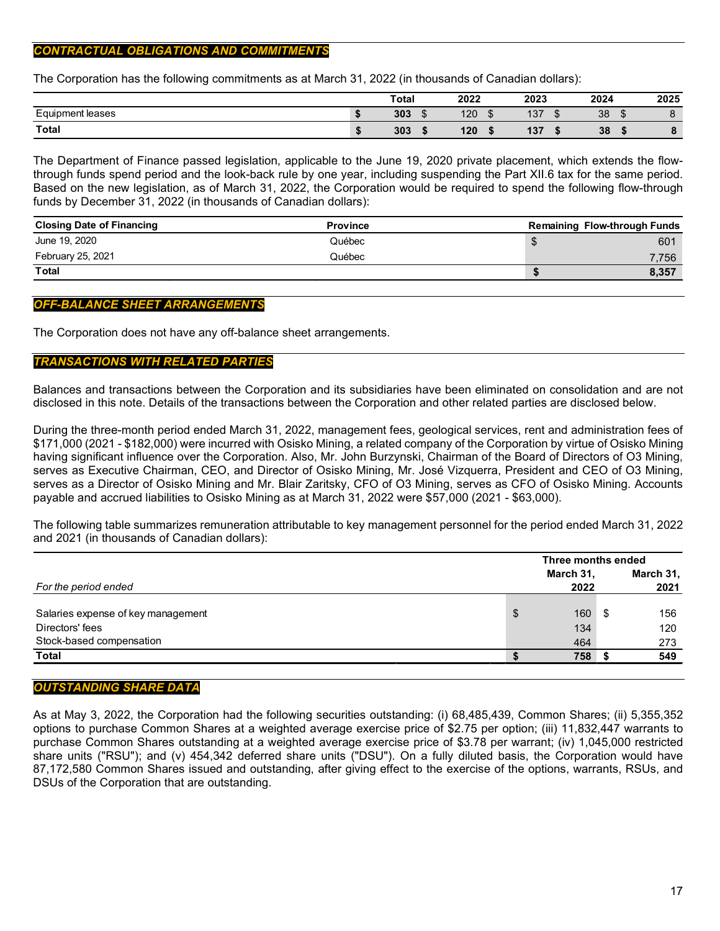# *CONTRACTUAL OBLIGATIONS AND COMMITMENTS*

The Corporation has the following commitments as at March 31, 2022 (in thousands of Canadian dollars):

|                                              | <b>Total</b>      | 2022 | 2023         | 2024                  | 2025                     |
|----------------------------------------------|-------------------|------|--------------|-----------------------|--------------------------|
| $\overline{\phantom{0}}$<br>Equipment leases | 303<br>$\sqrt{2}$ | 120  | 107<br>137   | 38<br>$\sqrt{2}$<br>w |                          |
| <b>Total</b>                                 | 303               | 120  | $10-$<br>137 | 38                    | $\bullet$<br>$\mathbf o$ |

The Department of Finance passed legislation, applicable to the June 19, 2020 private placement, which extends the flowthrough funds spend period and the look-back rule by one year, including suspending the Part XII.6 tax for the same period. Based on the new legislation, as of March 31, 2022, the Corporation would be required to spend the following flow-through funds by December 31, 2022 (in thousands of Canadian dollars):

| <b>Closing Date of Financing</b> | <b>Province</b> | <b>Remaining Flow-through Funds</b> |
|----------------------------------|-----------------|-------------------------------------|
| June 19, 2020                    | Québec          | 601                                 |
| February 25, 2021                | Québec          | 7.756                               |
| <b>Total</b>                     |                 | 8,357                               |

# *OFF-BALANCE SHEET ARRANGEMENTS*

The Corporation does not have any off-balance sheet arrangements.

# *TRANSACTIONS WITH RELATED PARTIES*

Balances and transactions between the Corporation and its subsidiaries have been eliminated on consolidation and are not disclosed in this note. Details of the transactions between the Corporation and other related parties are disclosed below.

During the three-month period ended March 31, 2022, management fees, geological services, rent and administration fees of \$171,000 (2021 - \$182,000) were incurred with Osisko Mining, a related company of the Corporation by virtue of Osisko Mining having significant influence over the Corporation. Also, Mr. John Burzynski, Chairman of the Board of Directors of O3 Mining, serves as Executive Chairman, CEO, and Director of Osisko Mining, Mr. José Vizquerra, President and CEO of O3 Mining, serves as a Director of Osisko Mining and Mr. Blair Zaritsky, CFO of O3 Mining, serves as CFO of Osisko Mining. Accounts payable and accrued liabilities to Osisko Mining as at March 31, 2022 were \$57,000 (2021 - \$63,000).

The following table summarizes remuneration attributable to key management personnel for the period ended March 31, 2022 and 2021 (in thousands of Canadian dollars):

|                                    |    | Three months ended |     |                   |
|------------------------------------|----|--------------------|-----|-------------------|
| For the period ended               |    | March 31,<br>2022  |     | March 31,<br>2021 |
|                                    |    |                    |     |                   |
| Salaries expense of key management | \$ | 160                | ∣S. | 156               |
| Directors' fees                    |    | 134                |     | 120               |
| Stock-based compensation           |    | 464                |     | 273               |
| <b>Total</b>                       |    | 758                |     | 549               |

# *OUTSTANDING SHARE DATA*

As at May 3, 2022, the Corporation had the following securities outstanding: (i) 68,485,439, Common Shares; (ii) 5,355,352 options to purchase Common Shares at a weighted average exercise price of \$2.75 per option; (iii) 11,832,447 warrants to purchase Common Shares outstanding at a weighted average exercise price of \$3.78 per warrant; (iv) 1,045,000 restricted share units ("RSU"); and (v) 454,342 deferred share units ("DSU"). On a fully diluted basis, the Corporation would have 87,172,580 Common Shares issued and outstanding, after giving effect to the exercise of the options, warrants, RSUs, and DSUs of the Corporation that are outstanding.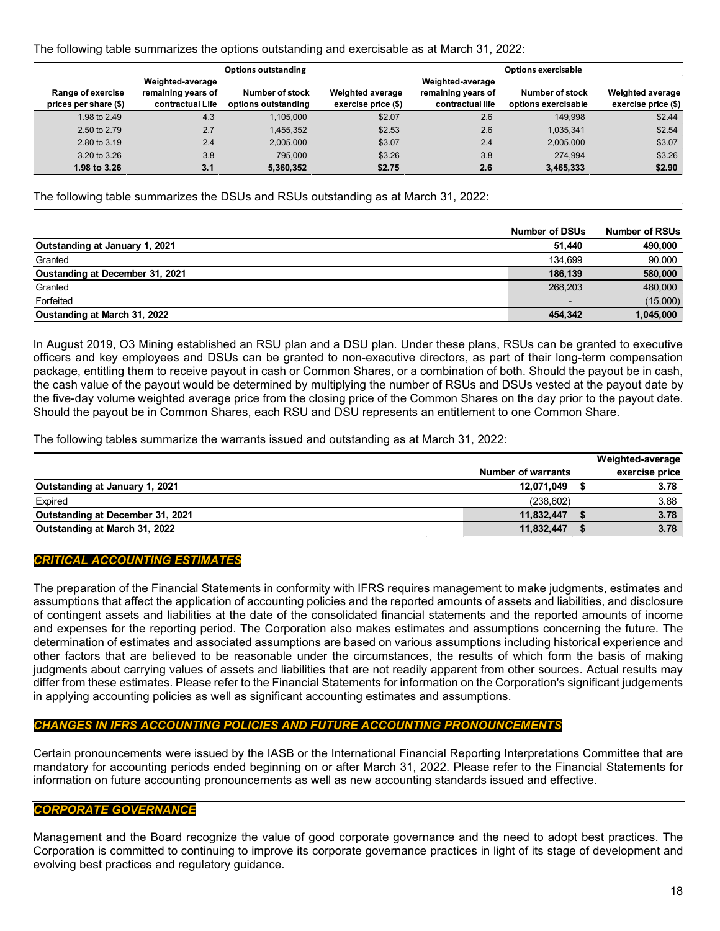# The following table summarizes the options outstanding and exercisable as at March 31, 2022:

|                                            |                                                            | <b>Options outstanding</b>             |                                                |                                                            | <b>Options exercisable</b>             |                                                |
|--------------------------------------------|------------------------------------------------------------|----------------------------------------|------------------------------------------------|------------------------------------------------------------|----------------------------------------|------------------------------------------------|
| Range of exercise<br>prices per share (\$) | Weighted-average<br>remaining years of<br>contractual Life | Number of stock<br>options outstanding | <b>Weighted average</b><br>exercise price (\$) | Weighted-average<br>remaining years of<br>contractual life | Number of stock<br>options exercisable | <b>Weighted average</b><br>exercise price (\$) |
| 1.98 to 2.49                               | 4.3                                                        | 1.105.000                              | \$2.07                                         | 2.6                                                        | 149.998                                | \$2.44                                         |
| 2.50 to 2.79                               | 2.7                                                        | 1.455.352                              | \$2.53                                         | 2.6                                                        | 1.035.341                              | \$2.54                                         |
| 2.80 to 3.19                               | 2.4                                                        | 2.005.000                              | \$3.07                                         | 2.4                                                        | 2,005,000                              | \$3.07                                         |
| 3.20 to 3.26                               | 3.8                                                        | 795,000                                | \$3.26                                         | 3.8                                                        | 274,994                                | \$3.26                                         |
| 1.98 to 3.26                               | 3.1                                                        | 5,360,352                              | \$2.75                                         | 2.6                                                        | 3,465,333                              | \$2.90                                         |

The following table summarizes the DSUs and RSUs outstanding as at March 31, 2022:

|                                 | <b>Number of DSUs</b> | <b>Number of RSUs</b> |
|---------------------------------|-----------------------|-----------------------|
| Outstanding at January 1, 2021  | 51.440                | 490,000               |
| Granted                         | 134.699               | 90,000                |
| Oustanding at December 31, 2021 | 186.139               | 580,000               |
| Granted                         | 268.203               | 480,000               |
| Forfeited                       |                       | (15,000)              |
| Oustanding at March 31, 2022    | 454,342               | 1,045,000             |

In August 2019, O3 Mining established an RSU plan and a DSU plan. Under these plans, RSUs can be granted to executive officers and key employees and DSUs can be granted to non-executive directors, as part of their long-term compensation package, entitling them to receive payout in cash or Common Shares, or a combination of both. Should the payout be in cash, the cash value of the payout would be determined by multiplying the number of RSUs and DSUs vested at the payout date by the five-day volume weighted average price from the closing price of the Common Shares on the day prior to the payout date. Should the payout be in Common Shares, each RSU and DSU represents an entitlement to one Common Share.

The following tables summarize the warrants issued and outstanding as at March 31, 2022:

|                    | Weighted-average |
|--------------------|------------------|
| Number of warrants | exercise price   |
| 12,071,049         | 3.78             |
| (238, 602)         | 3.88             |
| 11,832,447         | 3.78             |
| 11,832,447         | 3.78             |
|                    |                  |

# *CRITICAL ACCOUNTING ESTIMATES*

The preparation of the Financial Statements in conformity with IFRS requires management to make judgments, estimates and assumptions that affect the application of accounting policies and the reported amounts of assets and liabilities, and disclosure of contingent assets and liabilities at the date of the consolidated financial statements and the reported amounts of income and expenses for the reporting period. The Corporation also makes estimates and assumptions concerning the future. The determination of estimates and associated assumptions are based on various assumptions including historical experience and other factors that are believed to be reasonable under the circumstances, the results of which form the basis of making judgments about carrying values of assets and liabilities that are not readily apparent from other sources. Actual results may differ from these estimates. Please refer to the Financial Statements for information on the Corporation's significant judgements in applying accounting policies as well as significant accounting estimates and assumptions.

# *CHANGES IN IFRS ACCOUNTING POLICIES AND FUTURE ACCOUNTING PRONOUNCEMENTS*

Certain pronouncements were issued by the IASB or the International Financial Reporting Interpretations Committee that are mandatory for accounting periods ended beginning on or after March 31, 2022. Please refer to the Financial Statements for information on future accounting pronouncements as well as new accounting standards issued and effective.

# *CORPORATE GOVERNANCE*

Management and the Board recognize the value of good corporate governance and the need to adopt best practices. The Corporation is committed to continuing to improve its corporate governance practices in light of its stage of development and evolving best practices and regulatory guidance.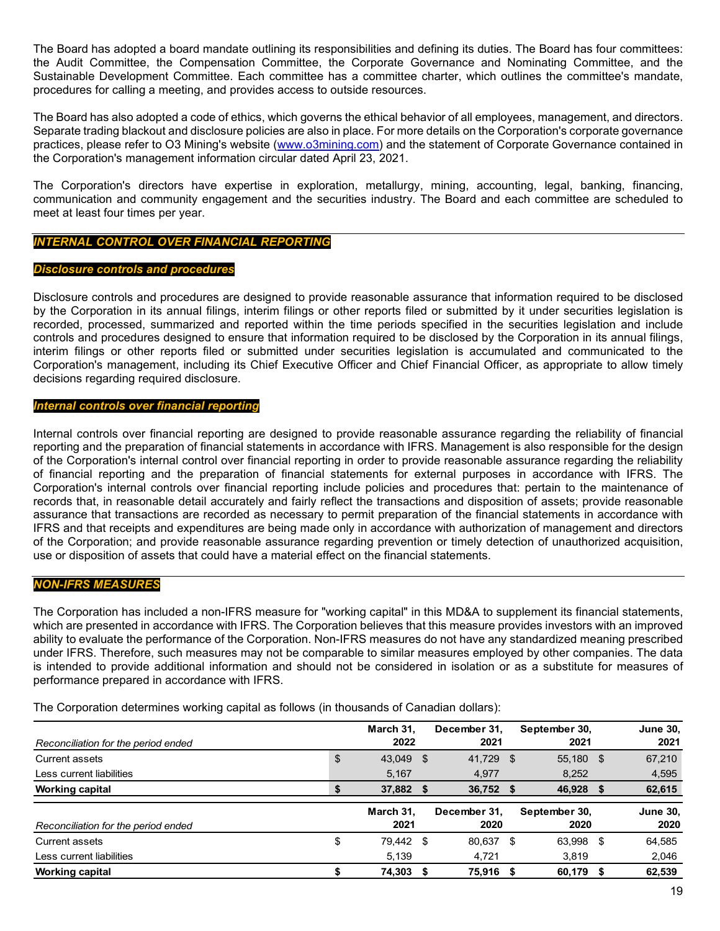The Board has adopted a board mandate outlining its responsibilities and defining its duties. The Board has four committees: the Audit Committee, the Compensation Committee, the Corporate Governance and Nominating Committee, and the Sustainable Development Committee. Each committee has a committee charter, which outlines the committee's mandate, procedures for calling a meeting, and provides access to outside resources.

The Board has also adopted a code of ethics, which governs the ethical behavior of all employees, management, and directors. Separate trading blackout and disclosure policies are also in place. For more details on the Corporation's corporate governance practices, please refer to O3 Mining's website [\(www.o3mining.com\)](http://www.o3mining.com/) and the statement of Corporate Governance contained in the Corporation's management information circular dated April 23, 2021.

The Corporation's directors have expertise in exploration, metallurgy, mining, accounting, legal, banking, financing, communication and community engagement and the securities industry. The Board and each committee are scheduled to meet at least four times per year.

# *INTERNAL CONTROL OVER FINANCIAL REPORTING*

#### *Disclosure controls and procedures*

Disclosure controls and procedures are designed to provide reasonable assurance that information required to be disclosed by the Corporation in its annual filings, interim filings or other reports filed or submitted by it under securities legislation is recorded, processed, summarized and reported within the time periods specified in the securities legislation and include controls and procedures designed to ensure that information required to be disclosed by the Corporation in its annual filings, interim filings or other reports filed or submitted under securities legislation is accumulated and communicated to the Corporation's management, including its Chief Executive Officer and Chief Financial Officer, as appropriate to allow timely decisions regarding required disclosure.

#### *Internal controls over financial reporting*

Internal controls over financial reporting are designed to provide reasonable assurance regarding the reliability of financial reporting and the preparation of financial statements in accordance with IFRS. Management is also responsible for the design of the Corporation's internal control over financial reporting in order to provide reasonable assurance regarding the reliability of financial reporting and the preparation of financial statements for external purposes in accordance with IFRS. The Corporation's internal controls over financial reporting include policies and procedures that: pertain to the maintenance of records that, in reasonable detail accurately and fairly reflect the transactions and disposition of assets; provide reasonable assurance that transactions are recorded as necessary to permit preparation of the financial statements in accordance with IFRS and that receipts and expenditures are being made only in accordance with authorization of management and directors of the Corporation; and provide reasonable assurance regarding prevention or timely detection of unauthorized acquisition, use or disposition of assets that could have a material effect on the financial statements.

# *NON-IFRS MEASURES*

The Corporation has included a non-IFRS measure for "working capital" in this MD&A to supplement its financial statements, which are presented in accordance with IFRS. The Corporation believes that this measure provides investors with an improved ability to evaluate the performance of the Corporation. Non-IFRS measures do not have any standardized meaning prescribed under IFRS. Therefore, such measures may not be comparable to similar measures employed by other companies. The data is intended to provide additional information and should not be considered in isolation or as a substitute for measures of performance prepared in accordance with IFRS.

The Corporation determines working capital as follows (in thousands of Canadian dollars):

|                                     | March 31.       |      | December 31. | September 30, |      | <b>June 30,</b> |
|-------------------------------------|-----------------|------|--------------|---------------|------|-----------------|
| Reconciliation for the period ended | 2022            |      | 2021         | 2021          |      | 2021            |
| Current assets                      | \$<br>43,049 \$ |      | 41.729 \$    | 55,180        | - \$ | 67,210          |
| Less current liabilities            | 5,167           |      | 4,977        | 8,252         |      | 4,595           |
| <b>Working capital</b>              | \$<br>37,882    | - 5  | 36,752 \$    | 46,928        | -5   | 62,615          |
|                                     |                 |      |              |               |      |                 |
|                                     | March 31.       |      | December 31, | September 30, |      | <b>June 30,</b> |
| Reconciliation for the period ended | 2021            |      | 2020         | 2020          |      | 2020            |
| Current assets                      | \$<br>79.442    | - \$ | 80,637       | \$<br>63,998  | \$   | 64.585          |
| Less current liabilities            | 5,139           |      | 4,721        | 3,819         |      | 2,046           |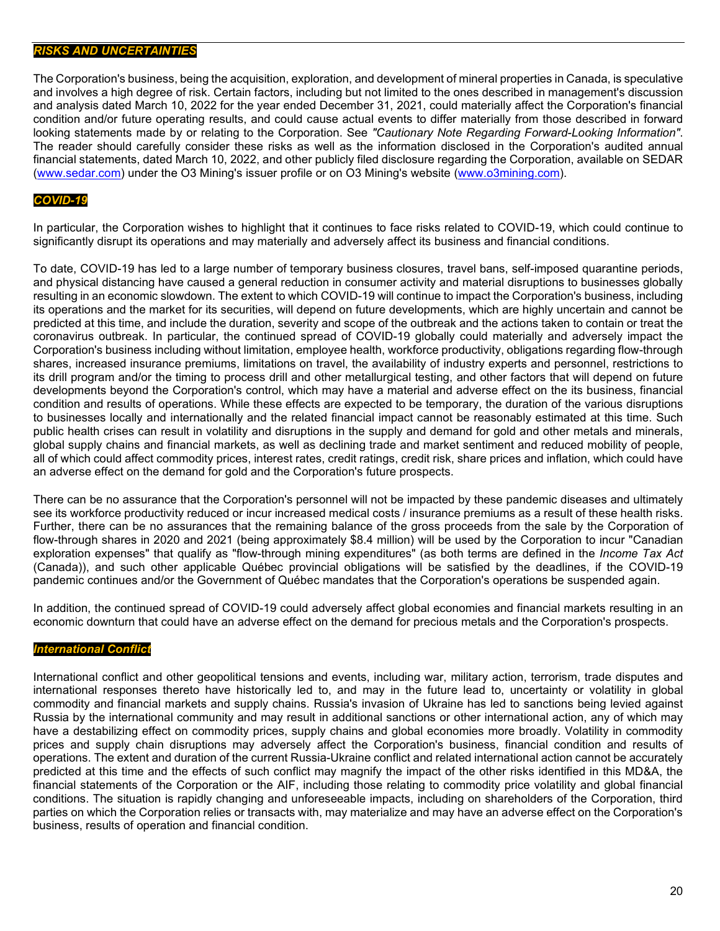# *RISKS AND UNCERTAINTIES*

The Corporation's business, being the acquisition, exploration, and development of mineral properties in Canada, is speculative and involves a high degree of risk. Certain factors, including but not limited to the ones described in management's discussion and analysis dated March 10, 2022 for the year ended December 31, 2021, could materially affect the Corporation's financial condition and/or future operating results, and could cause actual events to differ materially from those described in forward looking statements made by or relating to the Corporation. See *"Cautionary Note Regarding Forward-Looking Information"*. The reader should carefully consider these risks as well as the information disclosed in the Corporation's audited annual financial statements, dated March 10, 2022, and other publicly filed disclosure regarding the Corporation, available on SEDAR [\(www.sedar.com\)](http://www.sedar.com/) under the O3 Mining's issuer profile or on O3 Mining's website [\(www.o3mining.com\)](http://www.o3mining.com/).

# *COVID-19*

In particular, the Corporation wishes to highlight that it continues to face risks related to COVID-19, which could continue to significantly disrupt its operations and may materially and adversely affect its business and financial conditions.

To date, COVID-19 has led to a large number of temporary business closures, travel bans, self-imposed quarantine periods, and physical distancing have caused a general reduction in consumer activity and material disruptions to businesses globally resulting in an economic slowdown. The extent to which COVID-19 will continue to impact the Corporation's business, including its operations and the market for its securities, will depend on future developments, which are highly uncertain and cannot be predicted at this time, and include the duration, severity and scope of the outbreak and the actions taken to contain or treat the coronavirus outbreak. In particular, the continued spread of COVID-19 globally could materially and adversely impact the Corporation's business including without limitation, employee health, workforce productivity, obligations regarding flow-through shares, increased insurance premiums, limitations on travel, the availability of industry experts and personnel, restrictions to its drill program and/or the timing to process drill and other metallurgical testing, and other factors that will depend on future developments beyond the Corporation's control, which may have a material and adverse effect on the its business, financial condition and results of operations. While these effects are expected to be temporary, the duration of the various disruptions to businesses locally and internationally and the related financial impact cannot be reasonably estimated at this time. Such public health crises can result in volatility and disruptions in the supply and demand for gold and other metals and minerals, global supply chains and financial markets, as well as declining trade and market sentiment and reduced mobility of people, all of which could affect commodity prices, interest rates, credit ratings, credit risk, share prices and inflation, which could have an adverse effect on the demand for gold and the Corporation's future prospects.

There can be no assurance that the Corporation's personnel will not be impacted by these pandemic diseases and ultimately see its workforce productivity reduced or incur increased medical costs / insurance premiums as a result of these health risks. Further, there can be no assurances that the remaining balance of the gross proceeds from the sale by the Corporation of flow-through shares in 2020 and 2021 (being approximately \$8.4 million) will be used by the Corporation to incur "Canadian exploration expenses" that qualify as "flow-through mining expenditures" (as both terms are defined in the *Income Tax Act* (Canada)), and such other applicable Québec provincial obligations will be satisfied by the deadlines, if the COVID-19 pandemic continues and/or the Government of Québec mandates that the Corporation's operations be suspended again.

In addition, the continued spread of COVID-19 could adversely affect global economies and financial markets resulting in an economic downturn that could have an adverse effect on the demand for precious metals and the Corporation's prospects.

# *International Conflict*

International conflict and other geopolitical tensions and events, including war, military action, terrorism, trade disputes and international responses thereto have historically led to, and may in the future lead to, uncertainty or volatility in global commodity and financial markets and supply chains. Russia's invasion of Ukraine has led to sanctions being levied against Russia by the international community and may result in additional sanctions or other international action, any of which may have a destabilizing effect on commodity prices, supply chains and global economies more broadly. Volatility in commodity prices and supply chain disruptions may adversely affect the Corporation's business, financial condition and results of operations. The extent and duration of the current Russia-Ukraine conflict and related international action cannot be accurately predicted at this time and the effects of such conflict may magnify the impact of the other risks identified in this MD&A, the financial statements of the Corporation or the AIF, including those relating to commodity price volatility and global financial conditions. The situation is rapidly changing and unforeseeable impacts, including on shareholders of the Corporation, third parties on which the Corporation relies or transacts with, may materialize and may have an adverse effect on the Corporation's business, results of operation and financial condition.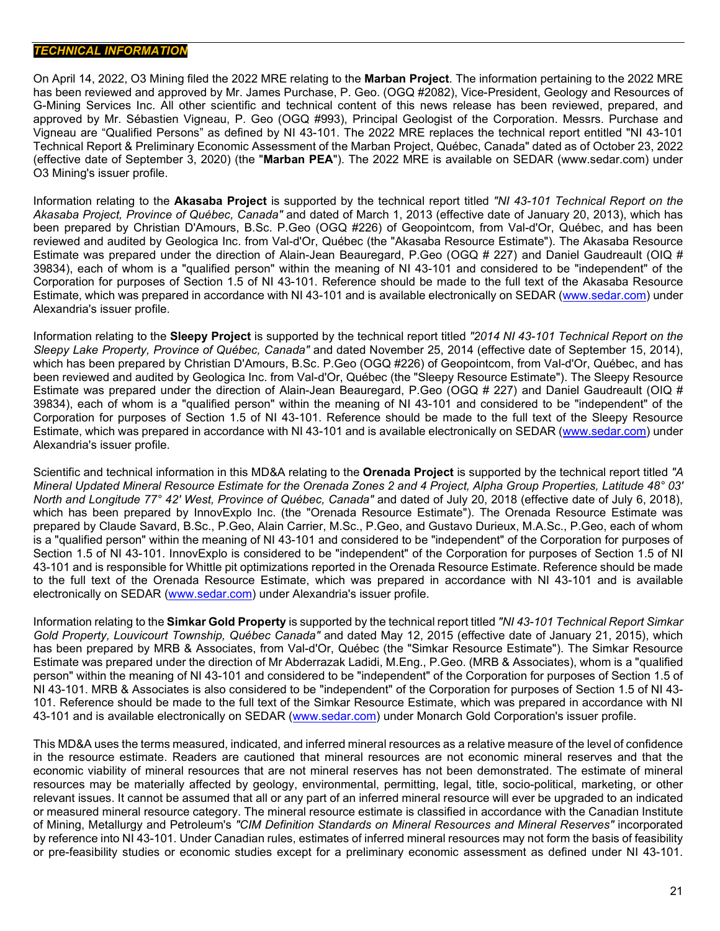# *TECHNICAL INFORMATION*

On April 14, 2022, O3 Mining filed the 2022 MRE relating to the **Marban Project**. The information pertaining to the 2022 MRE has been reviewed and approved by Mr. James Purchase, P. Geo. (OGQ #2082), Vice-President, Geology and Resources of G-Mining Services Inc. All other scientific and technical content of this news release has been reviewed, prepared, and approved by Mr. Sébastien Vigneau, P. Geo (OGQ #993), Principal Geologist of the Corporation. Messrs. Purchase and Vigneau are "Qualified Persons" as defined by NI 43-101. The 2022 MRE replaces the technical report entitled "NI 43-101 Technical Report & Preliminary Economic Assessment of the Marban Project, Québec, Canada" dated as of October 23, 2022 (effective date of September 3, 2020) (the "**Marban PEA**"). The 2022 MRE is available on SEDAR (www.sedar.com) under O3 Mining's issuer profile.

Information relating to the **Akasaba Project** is supported by the technical report titled *"NI 43-101 Technical Report on the Akasaba Project, Province of Québec, Canada"* and dated of March 1, 2013 (effective date of January 20, 2013), which has been prepared by Christian D'Amours, B.Sc. P.Geo (OGQ #226) of Geopointcom, from Val-d'Or, Québec, and has been reviewed and audited by Geologica Inc. from Val-d'Or, Québec (the "Akasaba Resource Estimate"). The Akasaba Resource Estimate was prepared under the direction of Alain-Jean Beauregard, P.Geo (OGQ # 227) and Daniel Gaudreault (OIQ # 39834), each of whom is a "qualified person" within the meaning of NI 43-101 and considered to be "independent" of the Corporation for purposes of Section 1.5 of NI 43-101. Reference should be made to the full text of the Akasaba Resource Estimate, which was prepared in accordance with NI 43-101 and is available electronically on SEDAR [\(www.sedar.com\)](http://www.sedar.com/) under Alexandria's issuer profile.

Information relating to the **Sleepy Project** is supported by the technical report titled *"2014 NI 43-101 Technical Report on the Sleepy Lake Property, Province of Québec, Canada"* and dated November 25, 2014 (effective date of September 15, 2014), which has been prepared by Christian D'Amours, B.Sc. P.Geo (OGQ #226) of Geopointcom, from Val-d'Or, Québec, and has been reviewed and audited by Geologica Inc. from Val-d'Or, Québec (the "Sleepy Resource Estimate"). The Sleepy Resource Estimate was prepared under the direction of Alain-Jean Beauregard, P.Geo (OGQ # 227) and Daniel Gaudreault (OIQ # 39834), each of whom is a "qualified person" within the meaning of NI 43-101 and considered to be "independent" of the Corporation for purposes of Section 1.5 of NI 43-101. Reference should be made to the full text of the Sleepy Resource Estimate, which was prepared in accordance with NI 43-101 and is available electronically on SEDAR [\(www.sedar.com\)](http://www.sedar.com/) under Alexandria's issuer profile.

Scientific and technical information in this MD&A relating to the **Orenada Project** is supported by the technical report titled *"A Mineral Updated Mineral Resource Estimate for the Orenada Zones 2 and 4 Project, Alpha Group Properties, Latitude 48° 03' North and Longitude 77° 42' West, Province of Québec, Canada"* and dated of July 20, 2018 (effective date of July 6, 2018), which has been prepared by InnovExplo Inc. (the "Orenada Resource Estimate"). The Orenada Resource Estimate was prepared by Claude Savard, B.Sc., P.Geo, Alain Carrier, M.Sc., P.Geo, and Gustavo Durieux, M.A.Sc., P.Geo, each of whom is a "qualified person" within the meaning of NI 43-101 and considered to be "independent" of the Corporation for purposes of Section 1.5 of NI 43-101. InnovExplo is considered to be "independent" of the Corporation for purposes of Section 1.5 of NI 43-101 and is responsible for Whittle pit optimizations reported in the Orenada Resource Estimate. Reference should be made to the full text of the Orenada Resource Estimate, which was prepared in accordance with NI 43-101 and is available electronically on SEDAR [\(www.sedar.com\)](http://www.sedar.com/) under Alexandria's issuer profile.

Information relating to the **Simkar Gold Property** is supported by the technical report titled *"NI 43-101 Technical Report Simkar Gold Property, Louvicourt Township, Québec Canada"* and dated May 12, 2015 (effective date of January 21, 2015), which has been prepared by MRB & Associates, from Val-d'Or, Québec (the "Simkar Resource Estimate"). The Simkar Resource Estimate was prepared under the direction of Mr Abderrazak Ladidi, M.Eng., P.Geo. (MRB & Associates), whom is a "qualified person" within the meaning of NI 43-101 and considered to be "independent" of the Corporation for purposes of Section 1.5 of NI 43-101. MRB & Associates is also considered to be "independent" of the Corporation for purposes of Section 1.5 of NI 43- 101. Reference should be made to the full text of the Simkar Resource Estimate, which was prepared in accordance with NI 43-101 and is available electronically on SEDAR [\(www.sedar.com\)](http://www.sedar.com/) under Monarch Gold Corporation's issuer profile.

This MD&A uses the terms measured, indicated, and inferred mineral resources as a relative measure of the level of confidence in the resource estimate. Readers are cautioned that mineral resources are not economic mineral reserves and that the economic viability of mineral resources that are not mineral reserves has not been demonstrated. The estimate of mineral resources may be materially affected by geology, environmental, permitting, legal, title, socio-political, marketing, or other relevant issues. It cannot be assumed that all or any part of an inferred mineral resource will ever be upgraded to an indicated or measured mineral resource category. The mineral resource estimate is classified in accordance with the Canadian Institute of Mining, Metallurgy and Petroleum's *"CIM Definition Standards on Mineral Resources and Mineral Reserves"* incorporated by reference into NI 43-101. Under Canadian rules, estimates of inferred mineral resources may not form the basis of feasibility or pre-feasibility studies or economic studies except for a preliminary economic assessment as defined under NI 43-101.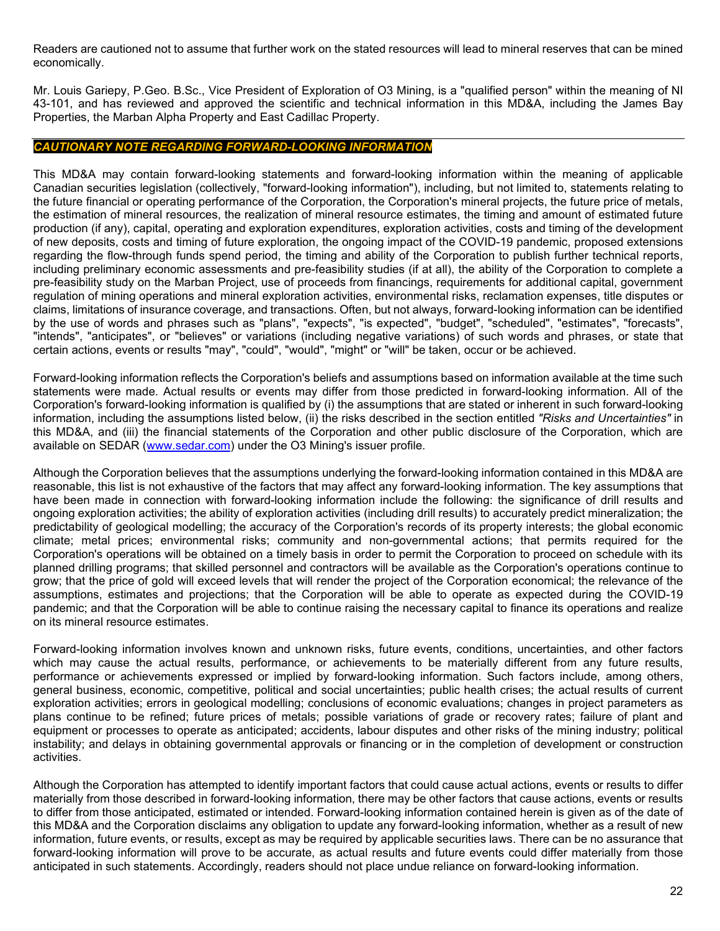Readers are cautioned not to assume that further work on the stated resources will lead to mineral reserves that can be mined economically.

Mr. Louis Gariepy, P.Geo. B.Sc., Vice President of Exploration of O3 Mining, is a "qualified person" within the meaning of NI 43-101, and has reviewed and approved the scientific and technical information in this MD&A, including the James Bay Properties, the Marban Alpha Property and East Cadillac Property.

# *CAUTIONARY NOTE REGARDING FORWARD-LOOKING INFORMATION*

This MD&A may contain forward-looking statements and forward-looking information within the meaning of applicable Canadian securities legislation (collectively, "forward-looking information"), including, but not limited to, statements relating to the future financial or operating performance of the Corporation, the Corporation's mineral projects, the future price of metals, the estimation of mineral resources, the realization of mineral resource estimates, the timing and amount of estimated future production (if any), capital, operating and exploration expenditures, exploration activities, costs and timing of the development of new deposits, costs and timing of future exploration, the ongoing impact of the COVID-19 pandemic, proposed extensions regarding the flow-through funds spend period, the timing and ability of the Corporation to publish further technical reports, including preliminary economic assessments and pre-feasibility studies (if at all), the ability of the Corporation to complete a pre-feasibility study on the Marban Project, use of proceeds from financings, requirements for additional capital, government regulation of mining operations and mineral exploration activities, environmental risks, reclamation expenses, title disputes or claims, limitations of insurance coverage, and transactions. Often, but not always, forward-looking information can be identified by the use of words and phrases such as "plans", "expects", "is expected", "budget", "scheduled", "estimates", "forecasts", "intends", "anticipates", or "believes" or variations (including negative variations) of such words and phrases, or state that certain actions, events or results "may", "could", "would", "might" or "will" be taken, occur or be achieved.

Forward-looking information reflects the Corporation's beliefs and assumptions based on information available at the time such statements were made. Actual results or events may differ from those predicted in forward-looking information. All of the Corporation's forward-looking information is qualified by (i) the assumptions that are stated or inherent in such forward-looking information, including the assumptions listed below, (ii) the risks described in the section entitled *"Risks and Uncertainties"* in this MD&A, and (iii) the financial statements of the Corporation and other public disclosure of the Corporation, which are available on SEDAR [\(www.sedar.com\)](http://www.sedar.com/) under the O3 Mining's issuer profile.

Although the Corporation believes that the assumptions underlying the forward-looking information contained in this MD&A are reasonable, this list is not exhaustive of the factors that may affect any forward-looking information. The key assumptions that have been made in connection with forward-looking information include the following: the significance of drill results and ongoing exploration activities; the ability of exploration activities (including drill results) to accurately predict mineralization; the predictability of geological modelling; the accuracy of the Corporation's records of its property interests; the global economic climate; metal prices; environmental risks; community and non-governmental actions; that permits required for the Corporation's operations will be obtained on a timely basis in order to permit the Corporation to proceed on schedule with its planned drilling programs; that skilled personnel and contractors will be available as the Corporation's operations continue to grow; that the price of gold will exceed levels that will render the project of the Corporation economical; the relevance of the assumptions, estimates and projections; that the Corporation will be able to operate as expected during the COVID-19 pandemic; and that the Corporation will be able to continue raising the necessary capital to finance its operations and realize on its mineral resource estimates.

Forward-looking information involves known and unknown risks, future events, conditions, uncertainties, and other factors which may cause the actual results, performance, or achievements to be materially different from any future results, performance or achievements expressed or implied by forward-looking information. Such factors include, among others, general business, economic, competitive, political and social uncertainties; public health crises; the actual results of current exploration activities; errors in geological modelling; conclusions of economic evaluations; changes in project parameters as plans continue to be refined; future prices of metals; possible variations of grade or recovery rates; failure of plant and equipment or processes to operate as anticipated; accidents, labour disputes and other risks of the mining industry; political instability; and delays in obtaining governmental approvals or financing or in the completion of development or construction activities.

Although the Corporation has attempted to identify important factors that could cause actual actions, events or results to differ materially from those described in forward-looking information, there may be other factors that cause actions, events or results to differ from those anticipated, estimated or intended. Forward-looking information contained herein is given as of the date of this MD&A and the Corporation disclaims any obligation to update any forward-looking information, whether as a result of new information, future events, or results, except as may be required by applicable securities laws. There can be no assurance that forward-looking information will prove to be accurate, as actual results and future events could differ materially from those anticipated in such statements. Accordingly, readers should not place undue reliance on forward-looking information.